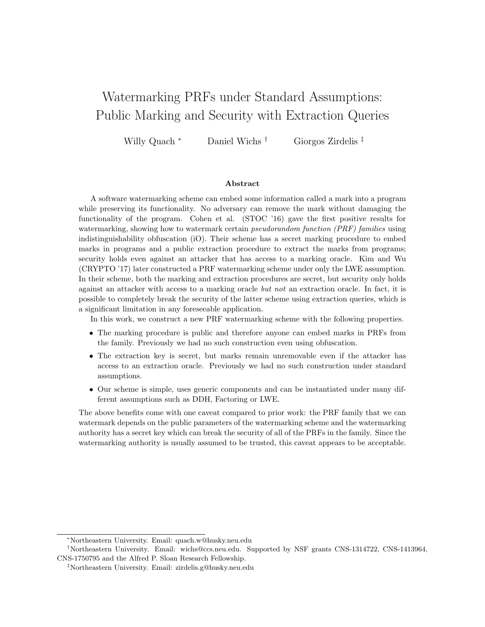# Watermarking PRFs under Standard Assumptions: Public Marking and Security with Extraction Queries

Willy Quach <sup>∗</sup> Daniel Wichs † Giorgos Zirdelis ‡

#### Abstract

A software watermarking scheme can embed some information called a mark into a program while preserving its functionality. No adversary can remove the mark without damaging the functionality of the program. Cohen et al. (STOC '16) gave the first positive results for watermarking, showing how to watermark certain *pseudorandom function (PRF) families* using indistinguishability obfuscation (iO). Their scheme has a secret marking procedure to embed marks in programs and a public extraction procedure to extract the marks from programs; security holds even against an attacker that has access to a marking oracle. Kim and Wu (CRYPTO '17) later constructed a PRF watermarking scheme under only the LWE assumption. In their scheme, both the marking and extraction procedures are secret, but security only holds against an attacker with access to a marking oracle but not an extraction oracle. In fact, it is possible to completely break the security of the latter scheme using extraction queries, which is a significant limitation in any foreseeable application.

In this work, we construct a new PRF watermarking scheme with the following properties.

- The marking procedure is public and therefore anyone can embed marks in PRFs from the family. Previously we had no such construction even using obfuscation.
- The extraction key is secret, but marks remain unremovable even if the attacker has access to an extraction oracle. Previously we had no such construction under standard assumptions.
- Our scheme is simple, uses generic components and can be instantiated under many different assumptions such as DDH, Factoring or LWE.

The above benefits come with one caveat compared to prior work: the PRF family that we can watermark depends on the public parameters of the watermarking scheme and the watermarking authority has a secret key which can break the security of all of the PRFs in the family. Since the watermarking authority is usually assumed to be trusted, this caveat appears to be acceptable.

<sup>∗</sup>Northeastern University. Email: quach.w@husky.neu.edu

<sup>†</sup>Northeastern University. Email: wichs@ccs.neu.edu. Supported by NSF grants CNS-1314722, CNS-1413964, CNS-1750795 and the Alfred P. Sloan Research Fellowship.

<sup>‡</sup>Northeastern University. Email: zirdelis.g@husky.neu.edu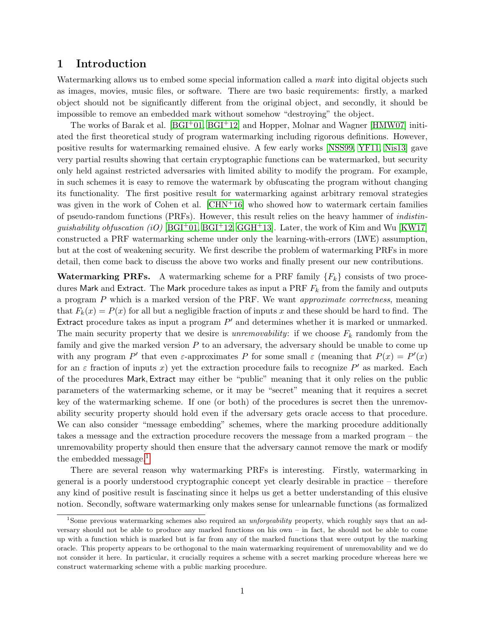### 1 Introduction

Watermarking allows us to embed some special information called a *mark* into digital objects such as images, movies, music files, or software. There are two basic requirements: firstly, a marked object should not be significantly different from the original object, and secondly, it should be impossible to remove an embedded mark without somehow "destroying" the object.

The works of Barak et al.  $[BGI^+01, BGI^+12]$  $[BGI^+01, BGI^+12]$  $[BGI^+01, BGI^+12]$  $[BGI^+01, BGI^+12]$  and Hopper, Molnar and Wagner [\[HMW07\]](#page-27-0) initiated the first theoretical study of program watermarking including rigorous definitions. However, positive results for watermarking remained elusive. A few early works [\[NSS99,](#page-27-1) [YF11,](#page-27-2) [Nis13\]](#page-27-3) gave very partial results showing that certain cryptographic functions can be watermarked, but security only held against restricted adversaries with limited ability to modify the program. For example, in such schemes it is easy to remove the watermark by obfuscating the program without changing its functionality. The first positive result for watermarking against arbitrary removal strategies was given in the work of Cohen et al.  $[CHN<sup>+</sup>16]$  $[CHN<sup>+</sup>16]$  who showed how to watermark certain families of pseudo-random functions (PRFs). However, this result relies on the heavy hammer of indistinquishability obfuscation (iO)  $[{\rm BGI^+01, BGI^+12, GGH^+13}]$  $[{\rm BGI^+01, BGI^+12, GGH^+13}]$  $[{\rm BGI^+01, BGI^+12, GGH^+13}]$  $[{\rm BGI^+01, BGI^+12, GGH^+13}]$  $[{\rm BGI^+01, BGI^+12, GGH^+13}]$ . Later, the work of Kim and Wu [\[KW17\]](#page-27-5) constructed a PRF watermarking scheme under only the learning-with-errors (LWE) assumption, but at the cost of weakening security. We first describe the problem of watermarking PRFs in more detail, then come back to discuss the above two works and finally present our new contributions.

**Watermarking PRFs.** A watermarking scheme for a PRF family  ${F_k}$  consists of two procedures Mark and Extract. The Mark procedure takes as input a PRF  $F_k$  from the family and outputs a program P which is a marked version of the PRF. We want approximate correctness, meaning that  $F_k(x) = P(x)$  for all but a negligible fraction of inputs x and these should be hard to find. The Extract procedure takes as input a program  $P'$  and determines whether it is marked or unmarked. The main security property that we desire is *unremovability*: if we choose  $F_k$  randomly from the family and give the marked version  $P$  to an adversary, the adversary should be unable to come up with any program P' that even  $\varepsilon$ -approximates P for some small  $\varepsilon$  (meaning that  $P(x) = P'(x)$ ) for an  $\varepsilon$  fraction of inputs x) yet the extraction procedure fails to recognize  $P'$  as marked. Each of the procedures Mark, Extract may either be "public" meaning that it only relies on the public parameters of the watermarking scheme, or it may be "secret" meaning that it requires a secret key of the watermarking scheme. If one (or both) of the procedures is secret then the unremovability security property should hold even if the adversary gets oracle access to that procedure. We can also consider "message embedding" schemes, where the marking procedure additionally takes a message and the extraction procedure recovers the message from a marked program – the unremovability property should then ensure that the adversary cannot remove the mark or modify the embedded message.<sup>[1](#page-1-0)</sup>

There are several reason why watermarking PRFs is interesting. Firstly, watermarking in general is a poorly understood cryptographic concept yet clearly desirable in practice – therefore any kind of positive result is fascinating since it helps us get a better understanding of this elusive notion. Secondly, software watermarking only makes sense for unlearnable functions (as formalized

<span id="page-1-0"></span><sup>&</sup>lt;sup>1</sup>Some previous watermarking schemes also required an *unforgeability* property, which roughly says that an adversary should not be able to produce any marked functions on his own – in fact, he should not be able to come up with a function which is marked but is far from any of the marked functions that were output by the marking oracle. This property appears to be orthogonal to the main watermarking requirement of unremovability and we do not consider it here. In particular, it crucially requires a scheme with a secret marking procedure whereas here we construct watermarking scheme with a public marking procedure.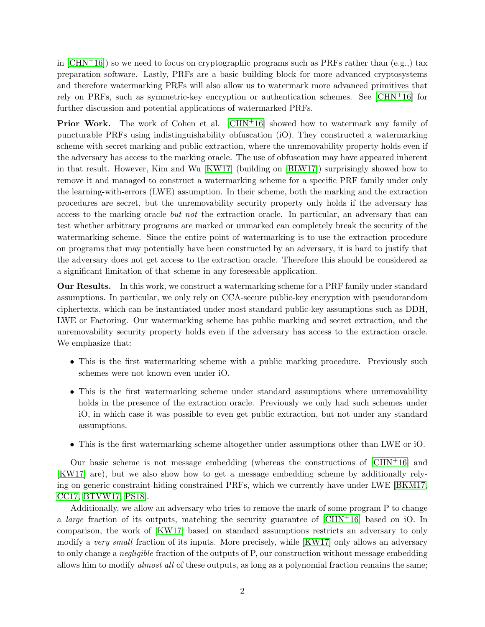in  $[CHN+16]$  $[CHN+16]$ ) so we need to focus on cryptographic programs such as PRFs rather than (e.g.,) tax preparation software. Lastly, PRFs are a basic building block for more advanced cryptosystems and therefore watermarking PRFs will also allow us to watermark more advanced primitives that rely on PRFs, such as symmetric-key encryption or authentication schemes. See [\[CHN](#page-26-2)+16] for further discussion and potential applications of watermarked PRFs.

**Prior Work.** The work of Cohen et al.  $[CHN+16]$  $[CHN+16]$  showed how to watermark any family of puncturable PRFs using indistinguishability obfuscation (iO). They constructed a watermarking scheme with secret marking and public extraction, where the unremovability property holds even if the adversary has access to the marking oracle. The use of obfuscation may have appeared inherent in that result. However, Kim and Wu [\[KW17\]](#page-27-5) (building on [\[BLW17\]](#page-26-3)) surprisingly showed how to remove it and managed to construct a watermarking scheme for a specific PRF family under only the learning-with-errors (LWE) assumption. In their scheme, both the marking and the extraction procedures are secret, but the unremovability security property only holds if the adversary has access to the marking oracle but not the extraction oracle. In particular, an adversary that can test whether arbitrary programs are marked or unmarked can completely break the security of the watermarking scheme. Since the entire point of watermarking is to use the extraction procedure on programs that may potentially have been constructed by an adversary, it is hard to justify that the adversary does not get access to the extraction oracle. Therefore this should be considered as a significant limitation of that scheme in any foreseeable application.

Our Results. In this work, we construct a watermarking scheme for a PRF family under standard assumptions. In particular, we only rely on CCA-secure public-key encryption with pseudorandom ciphertexts, which can be instantiated under most standard public-key assumptions such as DDH, LWE or Factoring. Our watermarking scheme has public marking and secret extraction, and the unremovability security property holds even if the adversary has access to the extraction oracle. We emphasize that:

- This is the first watermarking scheme with a public marking procedure. Previously such schemes were not known even under iO.
- This is the first watermarking scheme under standard assumptions where unremovability holds in the presence of the extraction oracle. Previously we only had such schemes under iO, in which case it was possible to even get public extraction, but not under any standard assumptions.
- This is the first watermarking scheme altogether under assumptions other than LWE or iO.

Our basic scheme is not message embedding (whereas the constructions of  $\text{[CHN+16]}$  $\text{[CHN+16]}$  $\text{[CHN+16]}$  and [\[KW17\]](#page-27-5) are), but we also show how to get a message embedding scheme by additionally relying on generic constraint-hiding constrained PRFs, which we currently have under LWE [\[BKM17,](#page-26-4) [CC17,](#page-26-5) [BTVW17,](#page-26-6) [PS18\]](#page-27-6).

Additionally, we allow an adversary who tries to remove the mark of some program P to change a *large* fraction of its outputs, matching the security guarantee of  $[CHN+16]$  $[CHN+16]$  based on iO. In comparison, the work of [\[KW17\]](#page-27-5) based on standard assumptions restricts an adversary to only modify a very small fraction of its inputs. More precisely, while [\[KW17\]](#page-27-5) only allows an adversary to only change a negligible fraction of the outputs of P, our construction without message embedding allows him to modify *almost all* of these outputs, as long as a polynomial fraction remains the same;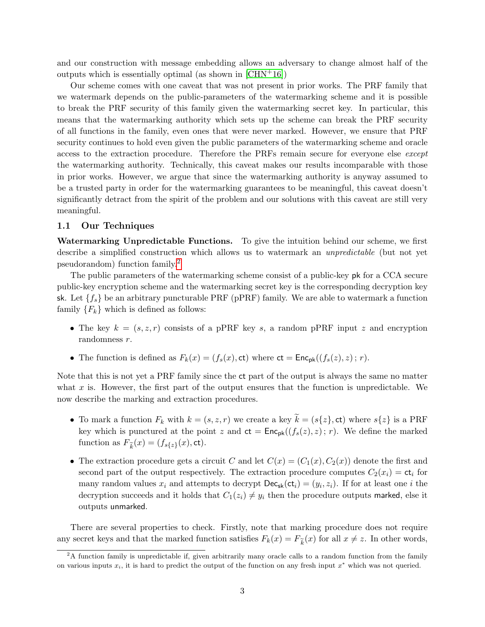and our construction with message embedding allows an adversary to change almost half of the outputs which is essentially optimal (as shown in  $[CHN^+16]$  $[CHN^+16]$ )

Our scheme comes with one caveat that was not present in prior works. The PRF family that we watermark depends on the public-parameters of the watermarking scheme and it is possible to break the PRF security of this family given the watermarking secret key. In particular, this means that the watermarking authority which sets up the scheme can break the PRF security of all functions in the family, even ones that were never marked. However, we ensure that PRF security continues to hold even given the public parameters of the watermarking scheme and oracle access to the extraction procedure. Therefore the PRFs remain secure for everyone else except the watermarking authority. Technically, this caveat makes our results incomparable with those in prior works. However, we argue that since the watermarking authority is anyway assumed to be a trusted party in order for the watermarking guarantees to be meaningful, this caveat doesn't significantly detract from the spirit of the problem and our solutions with this caveat are still very meaningful.

### 1.1 Our Techniques

Watermarking Unpredictable Functions. To give the intuition behind our scheme, we first describe a simplified construction which allows us to watermark an unpredictable (but not yet pseudorandom) function family.[2](#page-3-0)

The public parameters of the watermarking scheme consist of a public-key pk for a CCA secure public-key encryption scheme and the watermarking secret key is the corresponding decryption key sk. Let  $\{f_s\}$  be an arbitrary puncturable PRF (pPRF) family. We are able to watermark a function family  ${F_k}$  which is defined as follows:

- The key  $k = (s, z, r)$  consists of a pPRF key s, a random pPRF input z and encryption randomness r.
- The function is defined as  $F_k(x) = (f_s(x), ct)$  where  $ct = \text{Enc}_{pk}((f_s(z), z); r)$ .

Note that this is not yet a PRF family since the ct part of the output is always the same no matter what  $x$  is. However, the first part of the output ensures that the function is unpredictable. We now describe the marking and extraction procedures.

- To mark a function  $F_k$  with  $k = (s, z, r)$  we create a key  $\widetilde{k} = (s\{z\}, \text{ct})$  where  $s\{z\}$  is a PRF key which is punctured at the point z and  $ct = \text{Enc}_{pk}((f_s(z), z); r)$ . We define the marked function as  $F_{\widetilde{k}}(x) = (f_{s\{z\}}(x), \text{ct}).$
- The extraction procedure gets a circuit C and let  $C(x) = (C_1(x), C_2(x))$  denote the first and second part of the output respectively. The extraction procedure computes  $C_2(x_i) = ct_i$  for many random values  $x_i$  and attempts to decrypt  $\mathsf{Dec}_{\mathsf{sk}}(\mathsf{ct}_i) = (y_i, z_i)$ . If for at least one i the decryption succeeds and it holds that  $C_1(z_i) \neq y_i$  then the procedure outputs marked, else it outputs unmarked.

There are several properties to check. Firstly, note that marking procedure does not require any secret keys and that the marked function satisfies  $F_k(x) = F_{\tilde{k}}(x)$  for all  $x \neq z$ . In other words,

<span id="page-3-0"></span><sup>&</sup>lt;sup>2</sup>A function family is unpredictable if, given arbitrarily many oracle calls to a random function from the family on various inputs  $x_i$ , it is hard to predict the output of the function on any fresh input  $x^*$  which was not queried.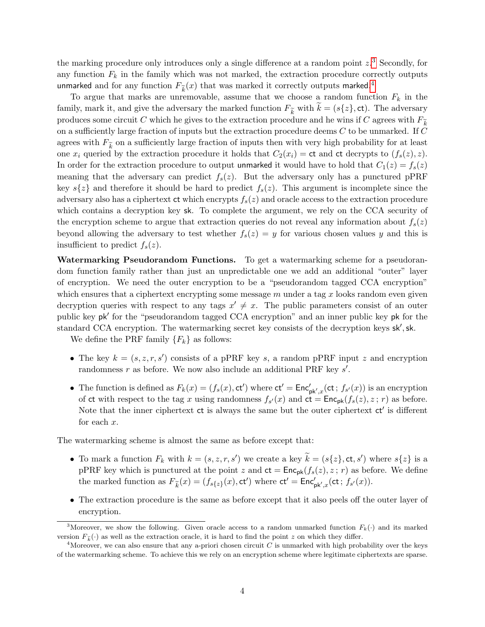the marking procedure only introduces only a single difference at a random point  $z<sup>3</sup>$  $z<sup>3</sup>$  $z<sup>3</sup>$  Secondly, for any function  $F_k$  in the family which was not marked, the extraction procedure correctly outputs unmarked and for any function  $F_{\tilde{k}}(x)$  that was marked it correctly outputs marked.<sup>[4](#page-4-1)</sup>

To argue that marks are unremovable, assume that we choose a random function  $F_k$  in the family, mark it, and give the adversary the marked function  $F_{\tilde{k}}$  with  $k = (s\{z\}, \text{ct})$ . The adversary produces some circuit C which he gives to the extraction procedure and he wins if C agrees with  $F_{\tilde{k}}$ on a sufficiently large fraction of inputs but the extraction procedure deems C to be unmarked. If C agrees with  $F_{\tilde{k}}$  on a sufficiently large fraction of inputs then with very high probability for at least one  $x_i$  queried by the extraction procedure it holds that  $C_2(x_i) = c$ t and ct decrypts to  $(f_s(z), z)$ . In order for the extraction procedure to output unmarked it would have to hold that  $C_1(z) = f_s(z)$ meaning that the adversary can predict  $f_s(z)$ . But the adversary only has a punctured pPRF key  $s\{z\}$  and therefore it should be hard to predict  $f_s(z)$ . This argument is incomplete since the adversary also has a ciphertext ct which encrypts  $f_s(z)$  and oracle access to the extraction procedure which contains a decryption key sk. To complete the argument, we rely on the CCA security of the encryption scheme to argue that extraction queries do not reveal any information about  $f_s(z)$ beyond allowing the adversary to test whether  $f_s(z) = y$  for various chosen values y and this is insufficient to predict  $f_s(z)$ .

Watermarking Pseudorandom Functions. To get a watermarking scheme for a pseudorandom function family rather than just an unpredictable one we add an additional "outer" layer of encryption. We need the outer encryption to be a "pseudorandom tagged CCA encryption" which ensures that a ciphertext encrypting some message  $m$  under a tag  $x$  looks random even given decryption queries with respect to any tags  $x' \neq x$ . The public parameters consist of an outer public key pk' for the "pseudorandom tagged CCA encryption" and an inner public key pk for the standard CCA encryption. The watermarking secret key consists of the decryption keys sk', sk.

We define the PRF family  ${F_k}$  as follows:

- The key  $k = (s, z, r, s')$  consists of a pPRF key s, a random pPRF input z and encryption randomness  $r$  as before. We now also include an additional PRF key  $s'$ .
- The function is defined as  $F_k(x) = (f_s(x), ct')$  where  $ct' = \text{Enc}_{pk',x}'(ct; f_{s'}(x))$  is an encryption of ct with respect to the tag x using randomness  $f_{s'}(x)$  and  $ct = \text{Enc}_{pk}(f_s(z), z; r)$  as before. Note that the inner ciphertext  $ct$  is always the same but the outer ciphertext  $ct'$  is different for each x.

The watermarking scheme is almost the same as before except that:

- To mark a function  $F_k$  with  $k = (s, z, r, s')$  we create a key  $\widetilde{k} = (s\{z\}, \text{ct}, s')$  where  $s\{z\}$  is a pPRF key which is punctured at the point z and  $ct = \text{Enc}_{pk}(f_s(z), z; r)$  as before. We define the marked function as  $F_{\widetilde{k}}(x) = (f_{s\{z\}}(x), ct')$  where  $ct' = \mathsf{Enc}_{\mathsf{pk}',x}'(ct; f_{s'}(x))$ .
- The extraction procedure is the same as before except that it also peels off the outer layer of encryption.

<span id="page-4-0"></span><sup>&</sup>lt;sup>3</sup>Moreover, we show the following. Given oracle access to a random unmarked function  $F_k(\cdot)$  and its marked version  $F_{\tilde{\tau}}(\cdot)$  as well as the extraction oracle, it is hard to find the point z on which they differ.

<span id="page-4-1"></span><sup>&</sup>lt;sup>4</sup>Moreover, we can also ensure that any a-priori chosen circuit  $C$  is unmarked with high probability over the keys of the watermarking scheme. To achieve this we rely on an encryption scheme where legitimate ciphertexts are sparse.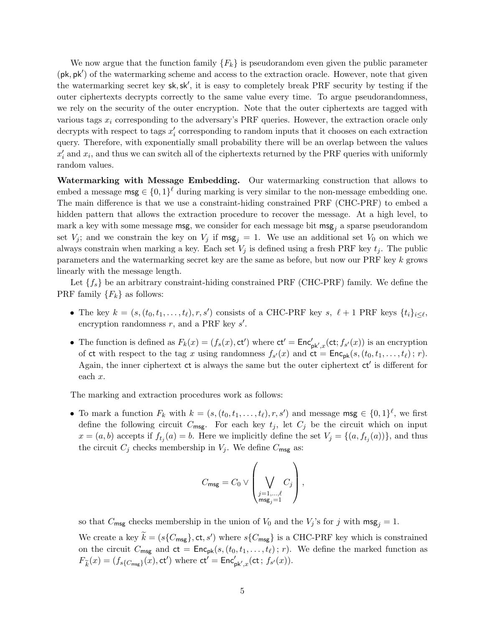We now argue that the function family  ${F_k}$  is pseudorandom even given the public parameter  $(\mathsf{pk}, \mathsf{pk}')$  of the watermarking scheme and access to the extraction oracle. However, note that given the watermarking secret key sk, sk', it is easy to completely break PRF security by testing if the outer ciphertexts decrypts correctly to the same value every time. To argue pseudorandomness, we rely on the security of the outer encryption. Note that the outer ciphertexts are tagged with various tags  $x_i$  corresponding to the adversary's PRF queries. However, the extraction oracle only decrypts with respect to tags  $x_i'$  corresponding to random inputs that it chooses on each extraction query. Therefore, with exponentially small probability there will be an overlap between the values  $x'_{i}$  and  $x_{i}$ , and thus we can switch all of the ciphertexts returned by the PRF queries with uniformly random values.

Watermarking with Message Embedding. Our watermarking construction that allows to embed a message  $\mathsf{msg} \in \{0,1\}^{\ell}$  during marking is very similar to the non-message embedding one. The main difference is that we use a constraint-hiding constrained PRF (CHC-PRF) to embed a hidden pattern that allows the extraction procedure to recover the message. At a high level, to mark a key with some message msg, we consider for each message bit  $\text{msg}_i$  a sparse pseudorandom set  $V_j$ ; and we constrain the key on  $V_j$  if  $\text{msg}_j = 1$ . We use an additional set  $V_0$  on which we always constrain when marking a key. Each set  $V_i$  is defined using a fresh PRF key  $t_i$ . The public parameters and the watermarking secret key are the same as before, but now our PRF key k grows linearly with the message length.

Let  $\{f_s\}$  be an arbitrary constraint-hiding constrained PRF (CHC-PRF) family. We define the PRF family  ${F_k}$  as follows:

- The key  $k = (s, (t_0, t_1, \ldots, t_\ell), r, s')$  consists of a CHC-PRF key  $s, \ell + 1$  PRF keys  $\{t_i\}_{i \leq \ell}$ , encryption randomness  $r$ , and a PRF key  $s'$ .
- The function is defined as  $F_k(x) = (f_s(x), ct')$  where  $ct' = \text{Enc}'_{pk',x}(\text{ct}; f_{s'}(x))$  is an encryption of ct with respect to the tag x using randomness  $f_{s'}(x)$  and  $ct = \mathsf{Enc}_{\mathsf{pk}}(s, (t_0, t_1, \ldots, t_\ell); r)$ . Again, the inner ciphertext  $ct$  is always the same but the outer ciphertext  $ct'$  is different for each x.

The marking and extraction procedures work as follows:

• To mark a function  $F_k$  with  $k = (s, (t_0, t_1, \ldots, t_\ell), r, s')$  and message msg  $\in \{0, 1\}^\ell$ , we first define the following circuit  $C_{\text{msg}}$ . For each key  $t_j$ , let  $C_j$  be the circuit which on input  $x = (a, b)$  accepts if  $f_{t_j}(a) = b$ . Here we implicitly define the set  $V_j = \{(a, f_{t_j}(a))\}$ , and thus the circuit  $C_j$  checks membership in  $V_j$ . We define  $C_{\text{msg}}$  as:

$$
C_{\text{msg}} = C_0 \vee \left(\bigvee_{\substack{j=1,\ldots,\ell\\ \text{msg}_j=1}} C_j\right),
$$

so that  $C_{\text{msg}}$  checks membership in the union of  $V_0$  and the  $V_j$ 's for j with  $\text{msg}_j = 1$ .

We create a key  $\widetilde{k} = (s{C_{\sf msg}}, {\sf ct}, s')$  where  $s{C_{\sf msg}}$  is a CHC-PRF key which is constrained on the circuit  $C_{\text{msg}}$  and  $ct = \text{Enc}_{pk}(s, (t_0, t_1, \ldots, t_\ell) ; r)$ . We define the marked function as  $F_{\widetilde{k}}(x) = (f_{s{C}_{\text{msg}}}(x), ct')$  where  $ct' = \text{Enc}'_{\text{pk}',x}(\text{ct}; f_{s'}(x)).$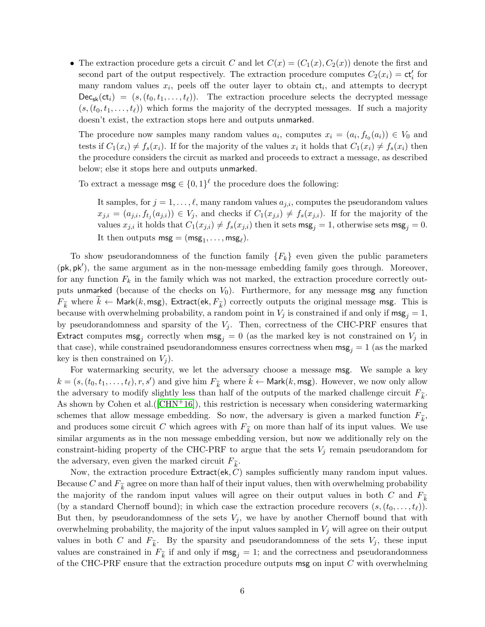• The extraction procedure gets a circuit C and let  $C(x) = (C_1(x), C_2(x))$  denote the first and second part of the output respectively. The extraction procedure computes  $C_2(x_i) = ct'_i$  for many random values  $x_i$ , peels off the outer layer to obtain  $ct_i$ , and attempts to decrypt  $Dec_{sk}(ct_i) = (s,(t_0,t_1,\ldots,t_\ell)).$  The extraction procedure selects the decrypted message  $(s,(t_0,t_1,\ldots,t_\ell))$  which forms the majority of the decrypted messages. If such a majority doesn't exist, the extraction stops here and outputs unmarked.

The procedure now samples many random values  $a_i$ , computes  $x_i = (a_i, f_{t_0}(a_i)) \in V_0$  and tests if  $C_1(x_i) \neq f_s(x_i)$ . If for the majority of the values  $x_i$  it holds that  $C_1(x_i) \neq f_s(x_i)$  then the procedure considers the circuit as marked and proceeds to extract a message, as described below; else it stops here and outputs unmarked.

To extract a message  $\text{msg} \in \{0,1\}^{\ell}$  the procedure does the following:

It samples, for  $j = 1, \ldots, \ell$ , many random values  $a_{j,i}$ , computes the pseudorandom values  $x_{j,i} = (a_{j,i}, f_{t_j}(a_{j,i})) \in V_j$ , and checks if  $C_1(x_{j,i}) \neq f_s(x_{j,i})$ . If for the majority of the values  $x_{j,i}$  it holds that  $C_1(x_{j,i}) \neq f_s(x_{j,i})$  then it sets  $\text{msg}_j = 1$ , otherwise sets  $\text{msg}_j = 0$ . It then outputs  $\mathsf{msg} = (\mathsf{msg}_1, \ldots, \mathsf{msg}_\ell).$ 

To show pseudorandomness of the function family  ${F_k}$  even given the public parameters  $(\mathsf{pk}, \mathsf{pk}')$ , the same argument as in the non-message embedding family goes through. Moreover, for any function  $F_k$  in the family which was not marked, the extraction procedure correctly outputs unmarked (because of the checks on  $V_0$ ). Furthermore, for any message msg any function  $F_{\tilde{k}}$  where  $k \leftarrow$  Mark $(k, \text{msg})$ , Extract(ek,  $F_{\tilde{k}}$ ) correctly outputs the original message msg. This is because with overwhelming probability, a random point in  $V_i$  is constrained if and only if  $\text{msg}_i = 1$ , by pseudorandomness and sparsity of the  $V_j$ . Then, correctness of the CHC-PRF ensures that Extract computes  $\text{msg}_j$  correctly when  $\text{msg}_j = 0$  (as the marked key is not constrained on  $V_j$  in that case), while constrained pseudorandomness ensures correctness when  $\mathsf{msg}_j = 1$  (as the marked key is then constrained on  $V_i$ ).

For watermarking security, we let the adversary choose a message msg. We sample a key  $k = (s, (t_0, t_1, \ldots, t_\ell), r, s')$  and give him  $F_{\widetilde{k}}$  where  $\widetilde{k} \leftarrow \mathsf{Mark}(k, \mathsf{msg})$ . However, we now only allow the adversary to modify slightly less than half of the outputs of the marked challenge circuit  $F_{\tilde{k}}$ . As shown by Cohen et al.  $[CHN<sup>+</sup>16]$  $[CHN<sup>+</sup>16]$ , this restriction is necessary when considering watermarking schemes that allow message embedding. So now, the adversary is given a marked function  $F_{\tilde{k}}$ , and produces some circuit C which agrees with  $F_{\widetilde{k}}$  on more than half of its input values. We use similar arguments as in the non message embedding version, but now we additionally rely on the constraint-hiding property of the CHC-PRF to argue that the sets  $V_j$  remain pseudorandom for the adversary, even given the marked circuit  $F_{\tilde{k}}$ .

Now, the extraction procedure  $Extract(ek, C)$  samples sufficiently many random input values. Because C and  $F_{\tilde{k}}$  agree on more than half of their input values, then with overwhelming probability the majority of the random input values will agree on their output values in both C and  $F_{\tilde{k}}$ (by a standard Chernoff bound); in which case the extraction procedure recovers  $(s,(t_0,\ldots,t_\ell)).$ But then, by pseudorandomness of the sets  $V_j$ , we have by another Chernoff bound that with overwhelming probability, the majority of the input values sampled in  $V_j$  will agree on their output values in both C and  $F_{\tilde{k}}$ . By the sparsity and pseudorandomness of the sets  $V_j$ , these input values are constrained in  $F_{\tilde{k}}$  if and only if  $\mathsf{msg}_j = 1$ ; and the correctness and pseudorandomness of the CHC-PRF ensure that the extraction procedure outputs msg on input  $C$  with overwhelming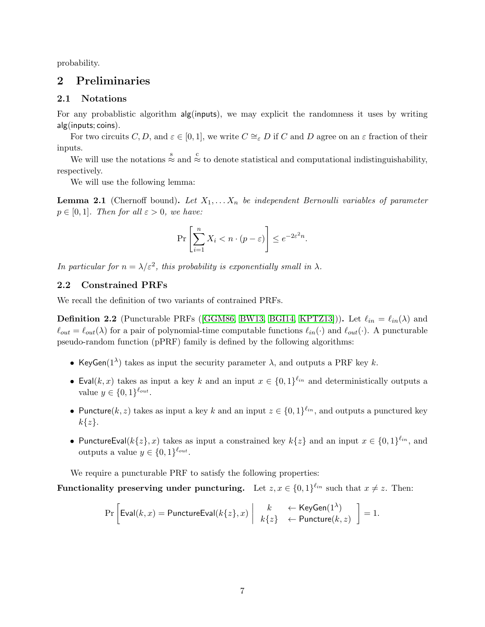probability.

### 2 Preliminaries

### 2.1 Notations

For any probabilistic algorithm alg(inputs), we may explicit the randomness it uses by writing alg(inputs; coins).

For two circuits C, D, and  $\varepsilon \in [0,1]$ , we write  $C \cong_{\varepsilon} D$  if C and D agree on an  $\varepsilon$  fraction of their inputs.

We will use the notations  $\stackrel{s}{\approx}$  and  $\stackrel{c}{\approx}$  to denote statistical and computational indistinguishability, respectively.

We will use the following lemma:

**Lemma 2.1** (Chernoff bound). Let  $X_1, \ldots, X_n$  be independent Bernoulli variables of parameter  $p \in [0, 1]$ . Then for all  $\varepsilon > 0$ , we have:

$$
\Pr\left[\sum_{i=1}^n X_i < n \cdot (p - \varepsilon)\right] \le e^{-2\varepsilon^2 n}.
$$

In particular for  $n = \lambda/\varepsilon^2$ , this probability is exponentially small in  $\lambda$ .

### 2.2 Constrained PRFs

We recall the definition of two variants of contrained PRFs.

**Definition 2.2** (Puncturable PRFs ([\[GGM86,](#page-27-7) [BW13,](#page-26-7) [BGI14,](#page-26-8) [KPTZ13\]](#page-27-8))). Let  $\ell_{in} = \ell_{in}(\lambda)$  and  $\ell_{out} = \ell_{out}(\lambda)$  for a pair of polynomial-time computable functions  $\ell_{in}(\cdot)$  and  $\ell_{out}(\cdot)$ . A puncturable pseudo-random function (pPRF) family is defined by the following algorithms:

- KeyGen( $1^{\lambda}$ ) takes as input the security parameter  $\lambda$ , and outputs a PRF key k.
- Eval $(k, x)$  takes as input a key k and an input  $x \in \{0, 1\}^{\ell_{in}}$  and deterministically outputs a value  $y \in \{0,1\}^{\ell_{out}}$ .
- Puncture(k, z) takes as input a key k and an input  $z \in \{0,1\}^{\ell_{in}}$ , and outputs a punctured key  $k\{z\}.$
- PunctureEval( $k\{z\}$ , x) takes as input a constrained key  $k\{z\}$  and an input  $x \in \{0,1\}^{\ell_{in}}$ , and outputs a value  $y \in \{0, 1\}^{\ell_{out}}$ .

We require a puncturable PRF to satisfy the following properties:

Functionality preserving under puncturing. Let  $z, x \in \{0,1\}^{\ell_{in}}$  such that  $x \neq z$ . Then:

$$
\Pr\left[\mathsf{Eval}(k,x) = \mathsf{PunctureEval}(k\{z\}, x) \left| \begin{array}{ccc} k & \leftarrow \mathsf{KeyGen}(1^{\lambda}) \\ k\{z\} & \leftarrow \mathsf{Puncture}(k,z) \end{array} \right. \right. \right] = 1.
$$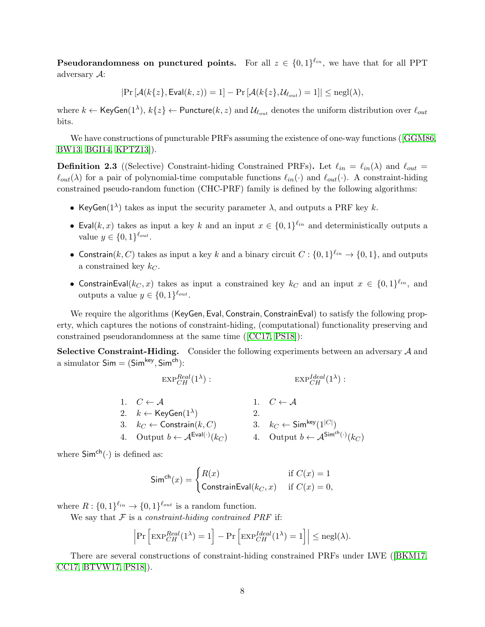**Pseudorandomness on punctured points.** For all  $z \in \{0,1\}^{\ell_{in}}$ , we have that for all PPT adversary A:

 $|\Pr[\mathcal{A}(k\{z\}, \text{Eval}(k, z)) = 1] - \Pr[\mathcal{A}(k\{z\}, \mathcal{U}_{\ell_{out}}) = 1]| \leq \text{negl}(\lambda),$ 

where  $k \leftarrow$  KeyGen $(1^{\lambda}),$   $k\{z\}$   $\leftarrow$  Puncture $(k,z)$  and  $\mathcal{U}_{\ell_{out}}$  denotes the uniform distribution over  $\ell_{out}$ bits.

We have constructions of puncturable PRFs assuming the existence of one-way functions ([\[GGM86,](#page-27-7) [BW13,](#page-26-7) [BGI14,](#page-26-8) [KPTZ13\]](#page-27-8)).

**Definition 2.3** ((Selective) Constraint-hiding Constrained PRFs). Let  $\ell_{in} = \ell_{in}(\lambda)$  and  $\ell_{out} =$  $\ell_{out}(\lambda)$  for a pair of polynomial-time computable functions  $\ell_{in}(\cdot)$  and  $\ell_{out}(\cdot)$ . A constraint-hiding constrained pseudo-random function (CHC-PRF) family is defined by the following algorithms:

- KeyGen( $1^{\lambda}$ ) takes as input the security parameter  $\lambda$ , and outputs a PRF key k.
- Eval $(k, x)$  takes as input a key k and an input  $x \in \{0, 1\}^{\ell_{in}}$  and deterministically outputs a value  $y \in \{0,1\}^{\ell_{out}}$ .
- Constrain $(k, C)$  takes as input a key k and a binary circuit  $C: \{0, 1\}^{\ell_{in}} \to \{0, 1\}$ , and outputs a constrained key  $k_C$ .
- ConstrainEval( $k_C, x$ ) takes as input a constrained key  $k_C$  and an input  $x \in \{0,1\}^{\ell_{in}}$ , and outputs a value  $y \in \{0,1\}^{\ell_{out}}$ .

We require the algorithms (KeyGen, Eval, Constrain, ConstrainEval) to satisfy the following property, which captures the notions of constraint-hiding, (computational) functionality preserving and constrained pseudorandomness at the same time ([\[CC17,](#page-26-5) [PS18\]](#page-27-6)):

Selective Constraint-Hiding. Consider the following experiments between an adversary  $A$  and a simulator  $Sim = (Sim^{key}, Sim^{ch})$ :

$$
\operatorname{EXP}_{CH}^{Real} (1^{\lambda}) : \qquad \operatorname{EXP}_{CH}^{Ideal} (1^{\lambda}) :
$$
  
\n1.  $C \leftarrow A$   
\n2.  $k \leftarrow \operatorname{KeyGen}(1^{\lambda})$   
\n3.  $k_C \leftarrow \operatorname{Constrain}(k, C)$   
\n4. Output  $b \leftarrow A^{\operatorname{Eval}(\cdot)}(k_C)$   
\n4. Output  $b \leftarrow A^{\operatorname{Final}(\cdot)}(k_C)$ 

where  $Sim<sup>ch</sup>(.)$  is defined as:

$$
\mathsf{Sim}^{\mathsf{ch}}(x) = \begin{cases} R(x) & \text{if } C(x) = 1\\ \mathsf{ConstrainEval}(k_C, x) & \text{if } C(x) = 0, \end{cases}
$$

where  $R: \{0,1\}^{\ell_{in}} \to \{0,1\}^{\ell_{out}}$  is a random function.

We say that  $\mathcal F$  is a constraint-hiding contrained PRF if:

$$
\left|\Pr\left[\exp_{CH}^{Real}(1^{\lambda})=1\right]-\Pr\left[\exp_{CH}^{Ideal}(1^{\lambda})=1\right]\right|\leq \text{negl}(\lambda).
$$

There are several constructions of constraint-hiding constrained PRFs under LWE ([\[BKM17,](#page-26-4) [CC17,](#page-26-5) [BTVW17,](#page-26-6) [PS18\]](#page-27-6)).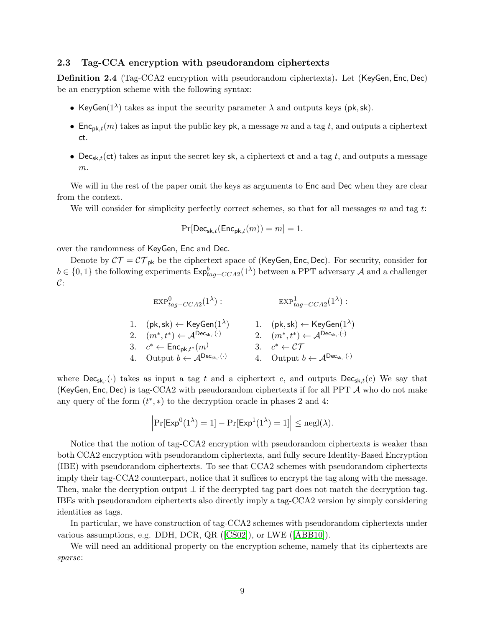### 2.3 Tag-CCA encryption with pseudorandom ciphertexts

Definition 2.4 (Tag-CCA2 encryption with pseudorandom ciphertexts). Let (KeyGen, Enc, Dec) be an encryption scheme with the following syntax:

- KeyGen( $1^{\lambda}$ ) takes as input the security parameter  $\lambda$  and outputs keys ( $pk, sk$ ).
- Enc<sub>pk,t</sub> $(m)$  takes as input the public key pk, a message m and a tag t, and outputs a ciphertext ct.
- Dec<sub>sk,t</sub>(ct) takes as input the secret key sk, a ciphertext ct and a tag t, and outputs a message m.

We will in the rest of the paper omit the keys as arguments to Enc and Dec when they are clear from the context.

We will consider for simplicity perfectly correct schemes, so that for all messages  $m$  and tag  $t$ :

$$
\Pr[\mathsf{Dec}_{\mathsf{sk},t}(\mathsf{Enc}_{\mathsf{pk},t}(m)) = m] = 1.
$$

over the randomness of KeyGen, Enc and Dec.

Denote by  $\mathcal{CT} = \mathcal{CT}_{\mathsf{pk}}$  be the ciphertext space of (KeyGen, Enc, Dec). For security, consider for  $b \in \{0,1\}$  the following experiments  $\mathsf{Exp}^b_{tag-CCA2}(1^{\lambda})$  between a PPT adversary  $\mathcal A$  and a challenger  $\mathcal{C}$ :

| $\text{EXP}_{tag-CCA2}^{0}(1^{\lambda})$ :                                        | $\text{EXP}_{tag-CCA2}^1(1^{\lambda})$ :                                      |
|-----------------------------------------------------------------------------------|-------------------------------------------------------------------------------|
| 1. $(\mathsf{pk}, \mathsf{sk}) \leftarrow \mathsf{KeyGen}(1^{\lambda})$           | 1. $(\mathsf{pk}, \mathsf{sk}) \leftarrow \mathsf{KeyGen}(1^{\lambda})$       |
| 2. $(m^*, t^*) \leftarrow \mathcal{A}^{\mathsf{Dec}_{\mathsf{sk}, \cdot}(\cdot)}$ | 2. $(m^*, t^*) \leftarrow \mathcal{A}^{\text{Dec}_{\text{sk}, \cdot}(\cdot)}$ |
| 3. $c^* \leftarrow \mathsf{Enc}_{\mathsf{pk}, t^*}(m)$                            | 3. $c^* \leftarrow \mathcal{CT}$                                              |
| 4. Output $b \leftarrow \mathcal{A}^{\text{Dec}_{\text{sk},.}(\cdot)}$            | 4. Output $b \leftarrow A^{\text{Dec}_{\text{sk},.}(\cdot)}$                  |

where  $\text{Dec}_{\textbf{sk},t}(\cdot)$  takes as input a tag t and a ciphertext c, and outputs  $\text{Dec}_{\textbf{sk},t}(c)$  We say that (KeyGen, Enc, Dec) is tag-CCA2 with pseudorandom ciphertexts if for all PPT  $\mathcal A$  who do not make any query of the form  $(t^*,*)$  to the decryption oracle in phases 2 and 4:

$$
\left|\Pr[\mathsf{Exp}^0(1^{\lambda})=1]-\Pr[\mathsf{Exp}^1(1^{\lambda})=1]\right|\leq \mathrm{negl}(\lambda).
$$

Notice that the notion of tag-CCA2 encryption with pseudorandom ciphertexts is weaker than both CCA2 encryption with pseudorandom ciphertexts, and fully secure Identity-Based Encryption (IBE) with pseudorandom ciphertexts. To see that CCA2 schemes with pseudorandom ciphertexts imply their tag-CCA2 counterpart, notice that it suffices to encrypt the tag along with the message. Then, make the decryption output  $\perp$  if the decrypted tag part does not match the decryption tag. IBEs with pseudorandom ciphertexts also directly imply a tag-CCA2 version by simply considering identities as tags.

In particular, we have construction of tag-CCA2 schemes with pseudorandom ciphertexts under various assumptions, e.g. DDH, DCR, QR ([\[CS02\]](#page-26-9)), or LWE ([\[ABB10\]](#page-26-10)).

We will need an additional property on the encryption scheme, namely that its ciphertexts are sparse: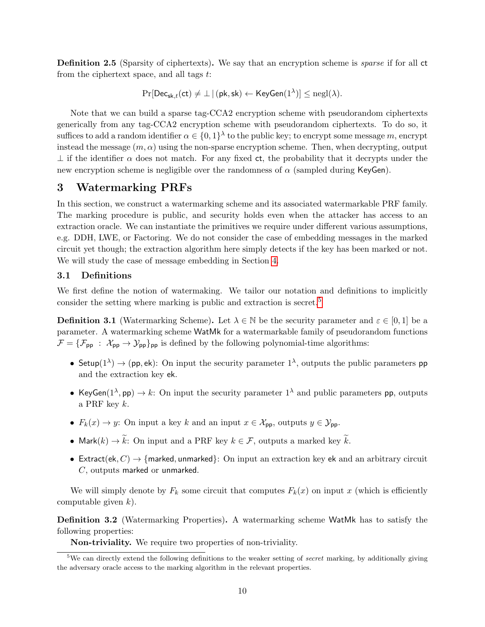Definition 2.5 (Sparsity of ciphertexts). We say that an encryption scheme is *sparse* if for all ct from the ciphertext space, and all tags  $t$ :

$$
\Pr[\mathsf{Dec}_{\mathsf{sk},t}(\mathsf{ct}) \neq \bot \, | \, (\mathsf{pk},\mathsf{sk}) \leftarrow \mathsf{KeyGen}(1^\lambda)] \le \mathsf{negl}(\lambda).
$$

Note that we can build a sparse tag-CCA2 encryption scheme with pseudorandom ciphertexts generically from any tag-CCA2 encryption scheme with pseudorandom ciphertexts. To do so, it suffices to add a random identifier  $\alpha \in \{0,1\}^{\lambda}$  to the public key; to encrypt some message m, encrypt instead the message  $(m, \alpha)$  using the non-sparse encryption scheme. Then, when decrypting, output  $\perp$  if the identifier  $\alpha$  does not match. For any fixed ct, the probability that it decrypts under the new encryption scheme is negligible over the randomness of  $\alpha$  (sampled during KeyGen).

### 3 Watermarking PRFs

In this section, we construct a watermarking scheme and its associated watermarkable PRF family. The marking procedure is public, and security holds even when the attacker has access to an extraction oracle. We can instantiate the primitives we require under different various assumptions, e.g. DDH, LWE, or Factoring. We do not consider the case of embedding messages in the marked circuit yet though; the extraction algorithm here simply detects if the key has been marked or not. We will study the case of message embedding in Section [4.](#page-18-0)

### <span id="page-10-1"></span>3.1 Definitions

We first define the notion of watermaking. We tailor our notation and definitions to implicitly consider the setting where marking is public and extraction is secret.[5](#page-10-0)

**Definition 3.1** (Watermarking Scheme). Let  $\lambda \in \mathbb{N}$  be the security parameter and  $\varepsilon \in [0, 1]$  be a parameter. A watermarking scheme WatMk for a watermarkable family of pseudorandom functions  $\mathcal{F} = {\mathcal{F}_{\text{pp}} : \mathcal{X}_{\text{pp}} \to \mathcal{Y}_{\text{pp}}}_{\text{pp}}$  is defined by the following polynomial-time algorithms:

- Setup( $1^{\lambda}$ )  $\rightarrow$  (pp, ek): On input the security parameter  $1^{\lambda}$ , outputs the public parameters pp and the extraction key ek.
- KeyGen( $1^{\lambda}$ , pp)  $\rightarrow k$ : On input the security parameter  $1^{\lambda}$  and public parameters pp, outputs a PRF key  $k$ .
- $F_k(x) \to y$ : On input a key k and an input  $x \in \mathcal{X}_{\text{pp}}$ , outputs  $y \in \mathcal{Y}_{\text{pp}}$ .
- Mark $(k) \to \tilde{k}$ : On input and a PRF key  $k \in \mathcal{F}$ , outputs a marked key  $\tilde{k}$ .
- Extract(ek,  $C$ )  $\rightarrow$  {marked, unmarked}: On input an extraction key ek and an arbitrary circuit C, outputs marked or unmarked.

We will simply denote by  $F_k$  some circuit that computes  $F_k(x)$  on input x (which is efficiently computable given  $k$ ).

Definition 3.2 (Watermarking Properties). A watermarking scheme WatMk has to satisfy the following properties:

<span id="page-10-0"></span>Non-triviality. We require two properties of non-triviality.

<sup>&</sup>lt;sup>5</sup>We can directly extend the following definitions to the weaker setting of *secret* marking, by additionally giving the adversary oracle access to the marking algorithm in the relevant properties.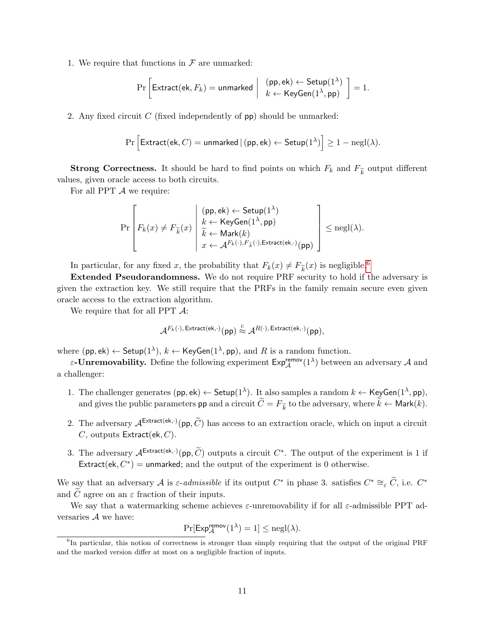1. We require that functions in  $\mathcal F$  are unmarked:

$$
\Pr\left[\mathsf{Extract}(\mathsf{ek}, F_k) = \mathsf{unmarked}\middle|\begin{array}{c} (\mathsf{pp}, \mathsf{ek}) \leftarrow \mathsf{Setup}(1^{\lambda}) \\ k \leftarrow \mathsf{KeyGen}(1^{\lambda}, \mathsf{pp}) \end{array}\right] = 1.
$$

2. Any fixed circuit  $C$  (fixed independently of  $pp$ ) should be unmarked:

$$
\Pr\Big[\mathsf{Extract}(\mathsf{ek}, C) = \mathsf{unmarked} \,|\, (\mathsf{pp}, \mathsf{ek}) \leftarrow \mathsf{Setup}(1^{\lambda})\Big] \ge 1 - \mathrm{negl}(\lambda).
$$

**Strong Correctness.** It should be hard to find points on which  $F_k$  and  $F_{\tilde{k}}$  output different values, given oracle access to both circuits.

For all PPT  $A$  we require:

$$
\Pr\left[F_k(x) \neq F_{\widetilde{k}}(x) \left| \begin{array}{c} (\mathsf{pp},\mathsf{ek}) \leftarrow \mathsf{Setup}(1^\lambda) \\ k \leftarrow \mathsf{KeyGen}(1^\lambda,\mathsf{pp}) \\ \widetilde{k} \leftarrow \mathsf{Mark}(k) \\ x \leftarrow \mathcal{A}^{F_k(\cdot),F_{\widetilde{k}}(\cdot), \mathsf{Extract}(\mathsf{ek},\cdot)}(\mathsf{pp}) \end{array} \right. \right] \leq \mathsf{negl}(\lambda).
$$

In particular, for any fixed x, the probability that  $F_k(x) \neq F_{\widetilde{k}}(x)$  is negligible.<sup>[6](#page-11-0)</sup>

Extended Pseudorandomness. We do not require PRF security to hold if the adversary is given the extraction key. We still require that the PRFs in the family remain secure even given oracle access to the extraction algorithm.

We require that for all PPT  $\mathcal{A}$ :

$$
\mathcal{A}^{F_k(\cdot),\, \mathsf{Extract}(\mathsf{ek},\cdot)}(\mathsf{pp}) \stackrel{\text{c}}{\approx} \mathcal{A}^{R(\cdot),\, \mathsf{Extract}(\mathsf{ek},\cdot)}(\mathsf{pp}),
$$

where  $(pp, ek) \leftarrow$  Setup $(1^{\lambda}), k \leftarrow$  KeyGen $(1^{\lambda}, pp)$ , and R is a random function.

 $\varepsilon$ -Unremovability. Define the following experiment  $\mathsf{Exp}_{\mathcal{A}}^{\mathsf{remove}}(1^{\lambda})$  between an adversary  $\mathcal A$  and a challenger:

- 1. The challenger generates  $(pp, \text{ek}) \leftarrow \text{Setup}(1^{\lambda})$ . It also samples a random  $k \leftarrow \text{KeyGen}(1^{\lambda}, pp)$ , and gives the public parameters **pp** and a circuit  $C = F_{\widetilde{k}}$  to the adversary, where  $k \leftarrow$  Mark $(k)$ .
- 2. The adversary  $\mathcal{A}^{\text{Extract}(ek,\cdot)}(pp,\tilde{C})$  has access to an extraction oracle, which on input a circuit  $C$ , outputs Extract(ek,  $C$ ).
- 3. The adversary  $\mathcal{A}^{\mathsf{Extract}(\mathsf{ek},.)}(\mathsf{pp}, \widetilde{C})$  outputs a circuit  $C^*$ . The output of the experiment is 1 if Extract(ek,  $C^*$ ) = unmarked; and the output of the experiment is 0 otherwise.

We say that an adversary A is  $\varepsilon$ -admissible if its output  $C^*$  in phase 3. satisfies  $C^* \cong_{\varepsilon} \widetilde{C}$ , i.e.  $C^*$ and C agree on an  $\varepsilon$  fraction of their inputs.

We say that a watermarking scheme achieves  $\varepsilon$ -unremovability if for all  $\varepsilon$ -admissible PPT adversaries A we have:

$$
\Pr[\mathsf{Exp}_{\mathcal{A}}^{\mathsf{remov}}(1^{\lambda}) = 1] \le \mathsf{negl}(\lambda).
$$

<span id="page-11-0"></span><sup>&</sup>lt;sup>6</sup>In particular, this notion of correctness is stronger than simply requiring that the output of the original PRF and the marked version differ at most on a negligible fraction of inputs.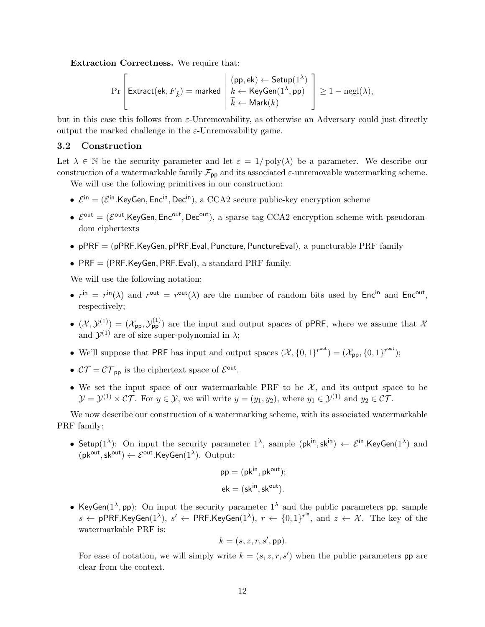Extraction Correctness. We require that:

$$
\Pr\left[\textsf{Extract}(\textsf{ek},F_{\widetilde{k}})=\textsf{marked}\left|\begin{array}{l}(\textsf{pp},\textsf{ek})\leftarrow\textsf{Setup}(1^{\lambda})\\k\leftarrow\textsf{KeyGen}(1^{\lambda},\textsf{pp})\\ \widetilde{k}\leftarrow\textsf{Mark}(k)\end{array}\right]\right|\geq 1-\textsf{negl}(\lambda),
$$

but in this case this follows from  $\varepsilon$ -Unremovability, as otherwise an Adversary could just directly output the marked challenge in the  $\varepsilon$ -Unremovability game.

### 3.2 Construction

Let  $\lambda \in \mathbb{N}$  be the security parameter and let  $\varepsilon = 1/\text{poly}(\lambda)$  be a parameter. We describe our construction of a watermarkable family  $\mathcal{F}_{\text{pp}}$  and its associated  $\varepsilon$ -unremovable watermarking scheme.

We will use the following primitives in our construction:

- $\mathcal{E}^{\text{in}} = (\mathcal{E}^{\text{in}})$ . KeyGen, Enc<sup>in</sup>, Dec<sup>in</sup>), a CCA2 secure public-key encryption scheme
- $\mathcal{E}^{\text{out}} = (\mathcal{E}^{\text{out}})$ . KeyGen, Enc<sup>out</sup>, Dec<sup>out</sup>), a sparse tag-CCA2 encryption scheme with pseudorandom ciphertexts
- $pPRF = (pPRF.KeyGen, pPRF.Eval, Puncture, PunctureEval), a puncturable PRF family$
- $PRF = (PRF.KeyGen, PRF.Eval), a standard PRF family.$

We will use the following notation:

- $r^{\text{in}} = r^{\text{in}}(\lambda)$  and  $r^{\text{out}} = r^{\text{out}}(\lambda)$  are the number of random bits used by  $\text{Enc}^{\text{in}}$  and  $\text{Enc}^{\text{out}}$ , respectively;
- $({\cal X},{\cal Y}^{(1)})=({\cal X}_{\text{pp}},{\cal Y}_{\text{pp}}^{(1)})$  are the input and output spaces of pPRF, where we assume that  ${\cal X}$ and  $\mathcal{Y}^{(1)}$  are of size super-polynomial in  $\lambda$ ;
- We'll suppose that PRF has input and output spaces  $(\mathcal{X}, \{0,1\}^{r^{\text{out}}}) = (\mathcal{X}_{\text{pp}}, \{0,1\}^{r^{\text{out}}})$ ;
- $\mathcal{CT} = \mathcal{CT}_{\mathsf{pp}}$  is the ciphertext space of  $\mathcal{E}^{\mathsf{out}}$ .
- We set the input space of our watermarkable PRF to be  $\mathcal{X}$ , and its output space to be  $\mathcal{Y} = \mathcal{Y}^{(1)} \times \mathcal{CT}$ . For  $y \in \mathcal{Y}$ , we will write  $y = (y_1, y_2)$ , where  $y_1 \in \mathcal{Y}^{(1)}$  and  $y_2 \in \mathcal{CT}$ .

We now describe our construction of a watermarking scheme, with its associated watermarkable PRF family:

• Setup(1<sup> $\lambda$ </sup>): On input the security parameter 1<sup> $\lambda$ </sup>, sample (pk<sup>in</sup>, sk<sup>in</sup>)  $\leftarrow \mathcal{E}^{\text{in}}$ . KeyGen(1<sup> $\lambda$ </sup>) and  $(\mathsf{pk}^{\mathsf{out}}, \mathsf{sk}^{\mathsf{out}}) \leftarrow \mathcal{E}^{\mathsf{out}}$ . KeyGen $(1^{\lambda})$ . Output:

$$
pp = (pk^{in}, pk^{out});
$$
  

$$
ek = (sk^{in}, sk^{out}).
$$

• KeyGen( $1^{\lambda}$ , pp): On input the security parameter  $1^{\lambda}$  and the public parameters pp, sample  $s \leftarrow$  pPRF.KeyGen $(1^{\lambda})$ ,  $s' \leftarrow$  PRF.KeyGen $(1^{\lambda})$ ,  $r \leftarrow \{0,1\}^{r^{in}}$ , and  $z \leftarrow \mathcal{X}$ . The key of the watermarkable PRF is:

$$
k = (s, z, r, s', \mathsf{pp}).
$$

For ease of notation, we will simply write  $k = (s, z, r, s')$  when the public parameters pp are clear from the context.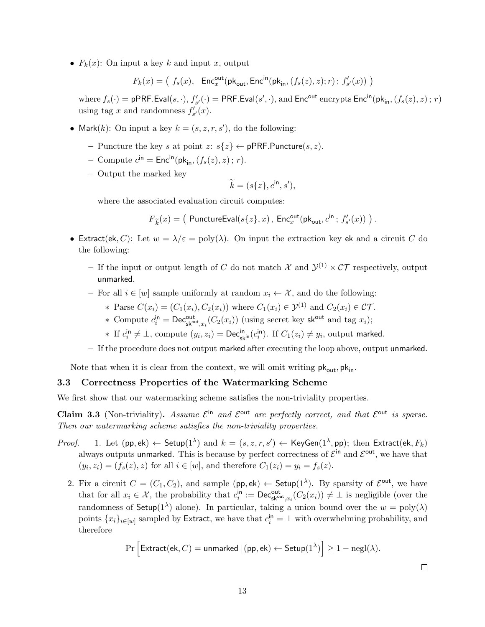•  $F_k(x)$ : On input a key k and input x, output

$$
F_k(x)=\left(\begin{array}{cc}f_s(x),&\mathrm{Enc}^{\rm out}_x(\mathrm{pk}_{\rm out},\mathrm{Enc}^{\rm in}(\mathrm{pk}_{\rm in},(f_s(z),z);r)\,;\,f'_{s'}(x))\end{array}\right)
$$

where  $f_s(\cdot) =$  pPRF.Eval $(s, \cdot), f'_{s'}(\cdot) =$  PRF.Eval $(s', \cdot)$ , and Enc<sup>out</sup> encrypts Enc<sup>in</sup>(pk<sub>in</sub>, ( $f_s(z), z)$ ; r) using tag x and randomness  $f'_{s'}(x)$ .

- Mark(k): On input a key  $k = (s, z, r, s')$ , do the following:
	- Puncture the key s at point z:  $s\{z\} \leftarrow$  pPRF. Puncture(s, z).
	- Compute  $c^{\text{in}} = \text{Enc}^{\text{in}}(\text{pk}_{\text{in}},(f_s(z), z)$ ; r).
	- Output the marked key

$$
\widetilde{k} = (s\{z\}, c^{\text{in}}, s'),
$$

where the associated evaluation circuit computes:

$$
F_{\widetilde{k}}(x) = \left( \text{ PunctureEval}(s\{z\}, x), \text{Enc}^{\text{out}}_{x}(\text{pk}_{\text{out}}, c^{\text{in}}; f'_{s'}(x)) \right).
$$

- Extract(ek, C): Let  $w = \lambda/\varepsilon = \text{poly}(\lambda)$ . On input the extraction key ek and a circuit C do the following:
	- If the input or output length of C do not match  $\mathcal{X}$  and  $\mathcal{Y}^{(1)} \times \mathcal{CT}$  respectively, output unmarked.
	- For all  $i \in [w]$  sample uniformly at random  $x_i \leftarrow \mathcal{X}$ , and do the following:
		- ∗ Parse  $C(x_i) = (C_1(x_i), C_2(x_i))$  where  $C_1(x_i) \in \mathcal{Y}^{(1)}$  and  $C_2(x_i) \in \mathcal{CT}$ .
		- \* Compute  $c_i^{\text{in}} = \text{Dec}_{\text{sk}^{\text{out}},x_i}^{\text{out}}(C_2(x_i))$  (using secret key sk<sup>out</sup> and tag  $x_i$ );
		- ∗ If  $c_i^{\text{in}} \neq \bot$ , compute  $(y_i, z_i) = \text{Dec}_{\text{sk}^{\text{in}}}^{\text{in}}(c_i^{\text{in}})$ . If  $C_1(z_i) \neq y_i$ , output marked.
	- If the procedure does not output marked after executing the loop above, output unmarked.

Note that when it is clear from the context, we will omit writing  $\mathsf{pk}_{\mathsf{out}}, \mathsf{pk}_{\mathsf{in}}.$ 

### 3.3 Correctness Properties of the Watermarking Scheme

We first show that our watermarking scheme satisfies the non-triviality properties.

**Claim 3.3** (Non-triviality). Assume  $\mathcal{E}^{\text{in}}$  and  $\mathcal{E}^{\text{out}}$  are perfectly correct, and that  $\mathcal{E}^{\text{out}}$  is sparse. Then our watermarking scheme satisfies the non-triviality properties.

- *Proof.* 1. Let  $(pp, ek) \leftarrow$  Setup $(1^{\lambda})$  and  $k = (s, z, r, s') \leftarrow$  KeyGen $(1^{\lambda}, pp)$ ; then Extract $(ek, F_k)$ always outputs unmarked. This is because by perfect correctness of  $\mathcal{E}^{\text{in}}$  and  $\mathcal{E}^{\text{out}}$ , we have that  $(y_i, z_i) = (f_s(z), z)$  for all  $i \in [w]$ , and therefore  $C_1(z_i) = y_i = f_s(z)$ .
	- 2. Fix a circuit  $C = (C_1, C_2)$ , and sample  $(pp, ek) \leftarrow$  Setup(1<sup> $\lambda$ </sup>). By sparsity of  $\mathcal{E}^{\text{out}}$ , we have that for all  $x_i \in \mathcal{X}$ , the probability that  $c_i^{\text{in}} := \text{Dec}_{\text{sk}^{\text{out}},x_i}^{\text{out}}(C_2(x_i)) \neq \bot$  is negligible (over the randomness of Setup(1<sup> $\lambda$ </sup>) alone). In particular, taking a union bound over the  $w = \text{poly}(\lambda)$ points  $\{x_i\}_{i\in [w]}$  sampled by Extract, we have that  $c_i^{\text{in}} = \bot$  with overwhelming probability, and therefore

$$
\Pr\Big[\mathsf{Extract}(\mathsf{ek}, C) = \mathsf{unmarked} \,|\, (\mathsf{pp}, \mathsf{ek}) \leftarrow \mathsf{Setup}(1^{\lambda})\Big] \ge 1 - \mathrm{negl}(\lambda).
$$

 $\Box$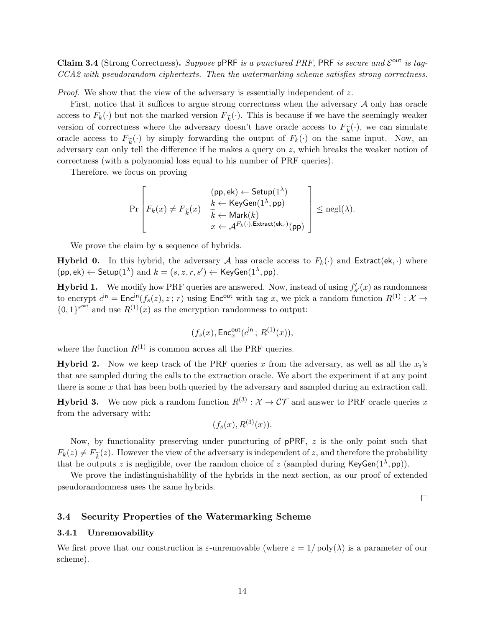Claim 3.4 (Strong Correctness). Suppose pPRF is a punctured PRF, PRF is secure and  $\mathcal{E}^{\text{out}}$  is tag-CCA2 with pseudorandom ciphertexts. Then the watermarking scheme satisfies strong correctness.

*Proof.* We show that the view of the adversary is essentially independent of z.

First, notice that it suffices to argue strong correctness when the adversary  $A$  only has oracle access to  $F_k(\cdot)$  but not the marked version  $F_{\tilde{k}}(\cdot)$ . This is because if we have the seemingly weaker version of correctness where the adversary doesn't have oracle access to  $F_{\tilde{k}}(\cdot)$ , we can simulate oracle access to  $F_{\tilde{k}}(\cdot)$  by simply forwarding the output of  $F_k(\cdot)$  on the same input. Now, an adversary can only tell the difference if he makes a query on  $z$ , which breaks the weaker notion of correctness (with a polynomial loss equal to his number of PRF queries).

Therefore, we focus on proving

$$
\Pr\left[F_k(x) \neq F_{\widetilde{k}}(x) \; \left| \begin{array}{c} (\mathsf{pp},\mathsf{ek}) \leftarrow \mathsf{Setup}(1^{\lambda}) \\ k \leftarrow \mathsf{KeyGen}(1^{\lambda},\mathsf{pp}) \\ \widetilde{k} \leftarrow \mathsf{Mark}(k) \\ x \leftarrow \mathcal{A}^{F_k(\cdot),\mathsf{Extract}(\mathsf{ek},\cdot)}(\mathsf{pp}) \end{array} \right] \right. \le \mathsf{negl}(\lambda).
$$

We prove the claim by a sequence of hybrids.

**Hybrid 0.** In this hybrid, the adversary A has oracle access to  $F_k(\cdot)$  and Extract(ek, ·) where  $(pp, ek) \leftarrow$  Setup $(1^{\lambda})$  and  $k = (s, z, r, s') \leftarrow$  KeyGen $(1^{\lambda}, pp)$ .

**Hybrid 1.** We modify how PRF queries are answered. Now, instead of using  $f'_{s'}(x)$  as randomness to encrypt  $c^{\text{in}} = \text{Enc}^{\text{in}}(f_s(z), z; r)$  using  $\text{Enc}^{\text{out}}$  with tag x, we pick a random function  $R^{(1)}: X \to$  $\{0,1\}^{r^{\text{out}}}$  and use  $R^{(1)}(x)$  as the encryption randomness to output:

$$
(f_s(x), \mathsf{Enc}^{\mathsf{out}}_x(c^{\mathsf{in}}; R^{(1)}(x)),
$$

where the function  $R^{(1)}$  is common across all the PRF queries.

**Hybrid 2.** Now we keep track of the PRF queries x from the adversary, as well as all the  $x_i$ 's that are sampled during the calls to the extraction oracle. We abort the experiment if at any point there is some  $x$  that has been both queried by the adversary and sampled during an extraction call.

**Hybrid 3.** We now pick a random function  $R^{(3)}$ :  $\mathcal{X} \to \mathcal{CT}$  and answer to PRF oracle queries x from the adversary with:

$$
(f_s(x), R^{(3)}(x)).
$$

Now, by functionality preserving under puncturing of  $pPRF$ ,  $z$  is the only point such that  $F_k(z) \neq F_{\widetilde{k}}(z)$ . However the view of the adversary is independent of z, and therefore the probability that he outputs z is negligible, over the random choice of z (sampled during KeyGen( $1^{\lambda}$ , pp)).

We prove the indistinguishability of the hybrids in the next section, as our proof of extended pseudorandomness uses the same hybrids.

 $\Box$ 

#### 3.4 Security Properties of the Watermarking Scheme

#### 3.4.1 Unremovability

We first prove that our construction is  $\varepsilon$ -unremovable (where  $\varepsilon = 1/\text{poly}(\lambda)$  is a parameter of our scheme).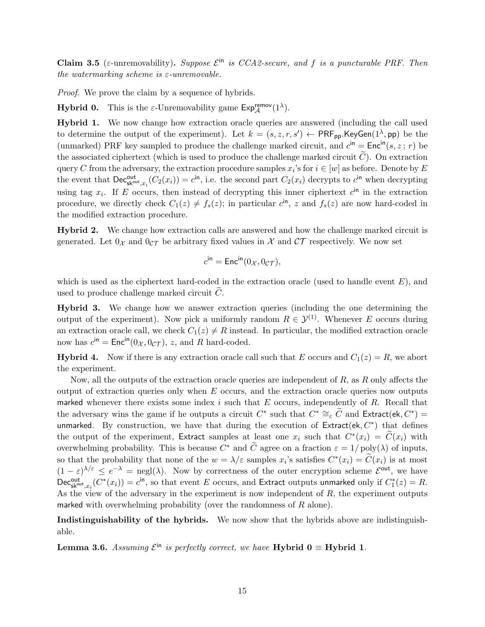**Claim 3.5** ( $\varepsilon$ -unremovability). Suppose  $\varepsilon$ <sup>in</sup> is CCA2-secure, and f is a puncturable PRF. Then the watermarking scheme is  $\varepsilon$ -unremovable.

*Proof.* We prove the claim by a sequence of hybrids.

**Hybrid 0.** This is the  $\varepsilon$ -Unremovability game  $Exp_{\mathcal{A}}^{\text{remove}}(1^{\lambda})$ .

Hybrid 1. We now change how extraction oracle queries are answered (including the call used to determine the output of the experiment). Let  $k = (s, z, r, s') \leftarrow PRF_{pp}$ . Key Gen $(1^{\lambda}, pp)$  be the (unmarked) PRF key sampled to produce the challenge marked circuit, and  $c^{\text{in}} = \text{Enc}^{\text{in}}(s, z; r)$  be the associated ciphertext (which is used to produce the challenge marked circuit  $\tilde{C}$ ). On extraction query C from the adversary, the extraction procedure samples  $x_i$ 's for  $i \in [w]$  as before. Denote by E the event that  $\mathsf{Dec}_{\mathsf{sk}^{\mathsf{out}},x_i}^{\mathsf{out}}(C_2(x_i)) = c^{\mathsf{in}},$  i.e. the second part  $C_2(x_i)$  decrypts to  $c^{\mathsf{in}}$  when decrypting using tag  $x_i$ . If E occurs, then instead of decrypting this inner ciphertext  $c^{\text{in}}$  in the extraction procedure, we directly check  $C_1(z) \neq f_s(z)$ ; in particular  $c^{\text{in}}$ , z and  $f_s(z)$  are now hard-coded in the modified extraction procedure.

Hybrid 2. We change how extraction calls are answered and how the challenge marked circuit is generated. Let  $0_\mathcal{X}$  and  $0_\mathcal{CT}$  be arbitrary fixed values in X and  $\mathcal{CT}$  respectively. We now set

$$
c^{\rm in} = \text{Enc}^{\rm in}(0_{\mathcal{X}}, 0_{\mathcal{CT}}),
$$

which is used as the ciphertext hard-coded in the extraction oracle (used to handle event  $E$ ), and used to produce challenge marked circuit  $\tilde{C}$ .

Hybrid 3. We change how we answer extraction queries (including the one determining the output of the experiment). Now pick a uniformly random  $R \in \mathcal{Y}^{(1)}$ . Whenever E occurs during an extraction oracle call, we check  $C_1(z) \neq R$  instead. In particular, the modified extraction oracle now has  $c^{\text{in}} = \text{Enc}^{\text{in}}(0_{\mathcal{X}}, 0_{\mathcal{CT}})$ , z, and R hard-coded.

**Hybrid 4.** Now if there is any extraction oracle call such that E occurs and  $C_1(z) = R$ , we abort the experiment.

Now, all the outputs of the extraction oracle queries are independent of  $R$ , as  $R$  only affects the output of extraction queries only when  $E$  occurs, and the extraction oracle queries now outputs marked whenever there exists some index i such that  $E$  occurs, independently of  $R$ . Recall that the adversary wins the game if he outputs a circuit  $C^*$  such that  $C^* \cong_{\varepsilon} \widetilde{C}$  and  $\textsf{Extract}(\textsf{ek}, C^*)$  = unmarked. By construction, we have that during the execution of  $Extract(ek, C^{*})$  that defines the output of the experiment, Extract samples at least one  $x_i$  such that  $C^*(x_i) = \widetilde{C}(x_i)$  with overwhelming probability. This is because  $C^*$  and  $\widetilde{C}$  agree on a fraction  $\varepsilon = 1/\text{poly}(\lambda)$  of inputs, so that the probability that none of the  $w = \lambda/\varepsilon$  samples  $x_i$ 's satisfies  $C^*(x_i) = \widetilde{C}(x_i)$  is at most  $(1-\varepsilon)^{\lambda/\varepsilon} \leq e^{-\lambda}$  = negl( $\lambda$ ). Now by correctness of the outer encryption scheme  $\mathcal{E}^{\text{out}}$ , we have  $\mathsf{Dec}_{\mathsf{sk}^\mathsf{out},x_i}^\mathsf{out}(C^*(x_i)) = c^\mathsf{in}$ , so that event  $E$  occurs, and Extract outputs unmarked only if  $C_1^*(z) = R$ . As the view of the adversary in the experiment is now independent of  $R$ , the experiment outputs marked with overwhelming probability (over the randomness of  $R$  alone).

Indistinguishability of the hybrids. We now show that the hybrids above are indistinguishable.

**Lemma 3.6.** Assuming  $\mathcal{E}^{\text{in}}$  is perfectly correct, we have **Hybrid 0**  $\equiv$  **Hybrid 1**.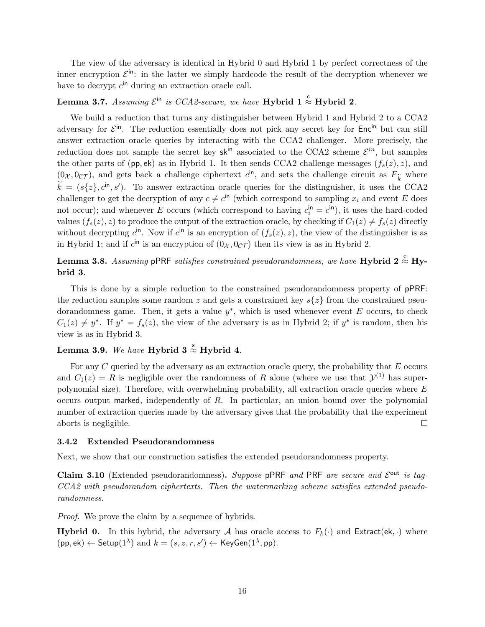The view of the adversary is identical in Hybrid 0 and Hybrid 1 by perfect correctness of the inner encryption  $\mathcal{E}^{\text{in}}$ : in the latter we simply hardcode the result of the decryption whenever we have to decrypt  $c<sup>in</sup>$  during an extraction oracle call.

# <span id="page-16-1"></span>Lemma 3.7. Assuming  $\mathcal{E}^{\text{in}}$  is CCA2-secure, we have Hybrid 1  $\stackrel{\text{c}}{\approx}$  Hybrid 2.

We build a reduction that turns any distinguisher between Hybrid 1 and Hybrid 2 to a CCA2 adversary for  $\mathcal{E}^{\text{in}}$ . The reduction essentially does not pick any secret key for  $\mathsf{Enc}^{\text{in}}$  but can still answer extraction oracle queries by interacting with the CCA2 challenger. More precisely, the reduction does not sample the secret key  $sk^{\text{in}}$  associated to the CCA2 scheme  $\mathcal{E}^{in}$ , but samples the other parts of (pp, ek) as in Hybrid 1. It then sends CCA2 challenge messages  $(f_s(z), z)$ , and  $(0x, 0c\tau)$ , and gets back a challenge ciphertext  $c^{in}$ , and sets the challenge circuit as  $F_{\tilde{k}}$  where  $\widetilde{k} = (s\{z\}, c^{\text{in}}, s')$ . To answer extraction oracle queries for the distinguisher, it uses the CCA2 challenger to get the decryption of any  $c \neq c^{\text{in}}$  (which correspond to sampling  $x_i$  and event E does not occur); and whenever E occurs (which correspond to having  $c_i^{\text{in}} = c^{\text{in}}$ ), it uses the hard-coded values  $(f_s(z), z)$  to produce the output of the extraction oracle, by checking if  $C_1(z) \neq f_s(z)$  directly without decrypting  $c^{\text{in}}$ . Now if  $c^{\text{in}}$  is an encryption of  $(f_s(z), z)$ , the view of the distinguisher is as in Hybrid 1; and if  $c^{\text{in}}$  is an encryption of  $(0_{\mathcal{X}}, 0_{\mathcal{CT}})$  then its view is as in Hybrid 2.

### <span id="page-16-2"></span>**Lemma 3.8.** Assuming pPRF satisfies constrained pseudorandomness, we have Hybrid 2  $\stackrel{\text{c}}{\approx}$  Hybrid 3.

This is done by a simple reduction to the constrained pseudorandomness property of pPRF: the reduction samples some random z and gets a constrained key  $s\{z\}$  from the constrained pseudorandomness game. Then, it gets a value  $y^*$ , which is used whenever event E occurs, to check  $C_1(z) \neq y^*$ . If  $y^* = f_s(z)$ , the view of the adversary is as in Hybrid 2; if  $y^*$  is random, then his view is as in Hybrid 3.

# Lemma 3.9. We have Hybrid 3  $\stackrel{\text{s}}{\approx}$  Hybrid 4.

For any  $C$  queried by the adversary as an extraction oracle query, the probability that  $E$  occurs and  $C_1(z) = R$  is negligible over the randomness of R alone (where we use that  $\mathcal{Y}^{(1)}$  has superpolynomial size). Therefore, with overwhelming probability, all extraction oracle queries where E occurs output marked, independently of  $R$ . In particular, an union bound over the polynomial number of extraction queries made by the adversary gives that the probability that the experiment aborts is negligible.  $\Box$ 

#### 3.4.2 Extended Pseudorandomness

Next, we show that our construction satisfies the extended pseudorandomness property.

<span id="page-16-0"></span>Claim 3.10 (Extended pseudorandomness). Suppose pPRF and PRF are secure and  $\mathcal{E}^{\text{out}}$  is tag-CCA2 with pseudorandom ciphertexts. Then the watermarking scheme satisfies extended pseudorandomness.

*Proof.* We prove the claim by a sequence of hybrids.

**Hybrid 0.** In this hybrid, the adversary A has oracle access to  $F_k(\cdot)$  and Extract(ek, ·) where  $(pp, ek) \leftarrow$  Setup $(1^{\lambda})$  and  $k = (s, z, r, s') \leftarrow$  KeyGen $(1^{\lambda}, pp)$ .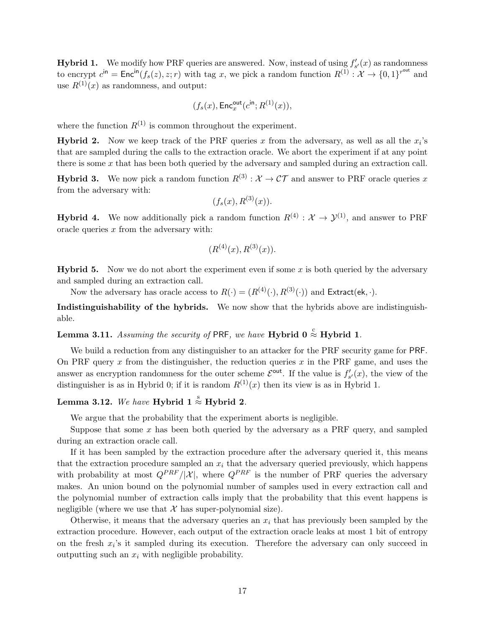**Hybrid 1.** We modify how PRF queries are answered. Now, instead of using  $f'_{s'}(x)$  as randomness to encrypt  $c^{\text{in}} = \text{Enc}^{\text{in}}(f_s(z), z; r)$  with tag x, we pick a random function  $R^{(1)}: \mathcal{X} \to \{0, 1\}^{r^{\text{out}}}$  and use  $R^{(1)}(x)$  as randomness, and output:

$$
(f_s(x), \mathsf{Enc}^{\mathsf{out}}_x(c^{\mathsf{in}}; R^{(1)}(x)),
$$

where the function  $R^{(1)}$  is common throughout the experiment.

**Hybrid 2.** Now we keep track of the PRF queries x from the adversary, as well as all the  $x_i$ 's that are sampled during the calls to the extraction oracle. We abort the experiment if at any point there is some x that has been both queried by the adversary and sampled during an extraction call.

**Hybrid 3.** We now pick a random function  $R^{(3)}$ :  $\mathcal{X} \to \mathcal{CT}$  and answer to PRF oracle queries x from the adversary with:

$$
(f_s(x), R^{(3)}(x)).
$$

**Hybrid 4.** We now additionally pick a random function  $R^{(4)} : \mathcal{X} \to \mathcal{Y}^{(1)}$ , and answer to PRF oracle queries  $x$  from the adversary with:

$$
(R^{(4)}(x), R^{(3)}(x)).
$$

**Hybrid 5.** Now we do not abort the experiment even if some  $x$  is both queried by the adversary and sampled during an extraction call.

Now the adversary has oracle access to  $R(\cdot) = (R^{(4)}(\cdot), R^{(3)}(\cdot))$  and Extract(ek,  $\cdot$ ).

Indistinguishability of the hybrids. We now show that the hybrids above are indistinguishable.

# **Lemma 3.11.** Assuming the security of PRF, we have **Hybrid 0**  $\stackrel{c}{\approx}$  **Hybrid 1**.

We build a reduction from any distinguisher to an attacker for the PRF security game for PRF. On PRF query  $x$  from the distinguisher, the reduction queries  $x$  in the PRF game, and uses the answer as encryption randomness for the outer scheme  $\mathcal{E}^{\text{out}}$ . If the value is  $f'_{s'}(x)$ , the view of the distinguisher is as in Hybrid 0; if it is random  $R^{(1)}(x)$  then its view is as in Hybrid 1.

# Lemma 3.12. We have Hybrid 1  $\stackrel{\text{s}}{\approx}$  Hybrid 2.

We argue that the probability that the experiment aborts is negligible.

Suppose that some  $x$  has been both queried by the adversary as a PRF query, and sampled during an extraction oracle call.

If it has been sampled by the extraction procedure after the adversary queried it, this means that the extraction procedure sampled an  $x_i$  that the adversary queried previously, which happens with probability at most  $Q^{PRF}/|\mathcal{X}|$ , where  $Q^{PRF}$  is the number of PRF queries the adversary makes. An union bound on the polynomial number of samples used in every extraction call and the polynomial number of extraction calls imply that the probability that this event happens is negligible (where we use that  $\mathcal X$  has super-polynomial size).

Otherwise, it means that the adversary queries an  $x_i$  that has previously been sampled by the extraction procedure. However, each output of the extraction oracle leaks at most 1 bit of entropy on the fresh  $x_i$ 's it sampled during its execution. Therefore the adversary can only succeed in outputting such an  $x_i$  with negligible probability.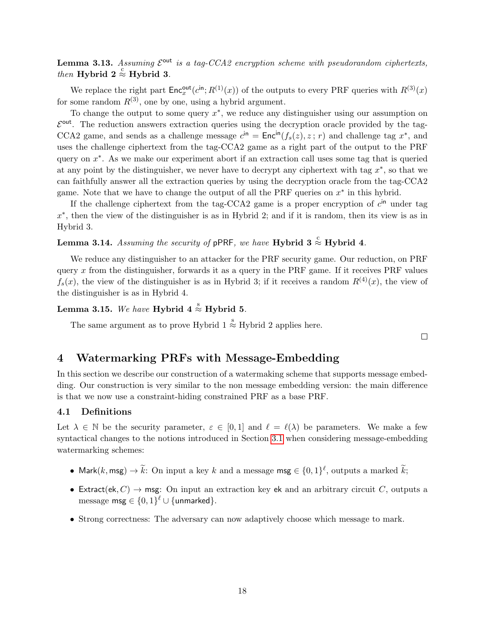**Lemma 3.13.** Assuming  $\mathcal{E}^{\text{out}}$  is a tag-CCA2 encryption scheme with pseudorandom ciphertexts, then Hybrid 2  $\stackrel{c}{\approx}$  Hybrid 3.

We replace the right part  $\mathsf{Enc}^{\mathsf{out}}_x(c^{\mathsf{in}}; R^{(1)}(x))$  of the outputs to every PRF queries with  $R^{(3)}(x)$ for some random  $R^{(3)}$ , one by one, using a hybrid argument.

To change the output to some query  $x^*$ , we reduce any distinguisher using our assumption on  $\mathcal{E}^{\text{out}}$ . The reduction answers extraction queries using the decryption oracle provided by the tag-CCA2 game, and sends as a challenge message  $c^{in} = \text{Enc}^{in}(f_s(z), z; r)$  and challenge tag  $x^*$ , and uses the challenge ciphertext from the tag-CCA2 game as a right part of the output to the PRF query on  $x^*$ . As we make our experiment abort if an extraction call uses some tag that is queried at any point by the distinguisher, we never have to decrypt any ciphertext with tag  $x^*$ , so that we can faithfully answer all the extraction queries by using the decryption oracle from the tag-CCA2 game. Note that we have to change the output of all the PRF queries on  $x^*$  in this hybrid.

If the challenge ciphertext from the tag-CCA2 game is a proper encryption of  $c<sup>in</sup>$  under tag  $x^*$ , then the view of the distinguisher is as in Hybrid 2; and if it is random, then its view is as in Hybrid 3.

# Lemma 3.14. Assuming the security of pPRF, we have Hybrid 3  $\stackrel{c}{\approx}$  Hybrid 4.

We reduce any distinguisher to an attacker for the PRF security game. Our reduction, on PRF query  $x$  from the distinguisher, forwards it as a query in the PRF game. If it receives PRF values  $f_s(x)$ , the view of the distinguisher is as in Hybrid 3; if it receives a random  $R^{(4)}(x)$ , the view of the distinguisher is as in Hybrid 4.

# Lemma 3.15. We have Hybrid 4  $\stackrel{\text{s}}{\approx}$  Hybrid 5.

The same argument as to prove Hybrid 1  $\stackrel{\text{s}}{\approx}$  Hybrid 2 applies here.

 $\Box$ 

### <span id="page-18-0"></span>4 Watermarking PRFs with Message-Embedding

In this section we describe our construction of a watermaking scheme that supports message embedding. Our construction is very similar to the non message embedding version: the main difference is that we now use a constraint-hiding constrained PRF as a base PRF.

### 4.1 Definitions

Let  $\lambda \in \mathbb{N}$  be the security parameter,  $\varepsilon \in [0,1]$  and  $\ell = \ell(\lambda)$  be parameters. We make a few syntactical changes to the notions introduced in Section [3.1](#page-10-1) when considering message-embedding watermarking schemes:

- Mark $(k, \text{msg}) \to \tilde{k}$ : On input a key k and a message  $\text{msg} \in \{0,1\}^{\ell}$ , outputs a marked  $\tilde{k}$ ;
- Extract(ek,  $C$ )  $\rightarrow$  msg: On input an extraction key ek and an arbitrary circuit C, outputs a message  $\mathsf{msg} \in \{0,1\}^\ell \cup \{\mathsf{unmarked}\}.$
- Strong correctness: The adversary can now adaptively choose which message to mark.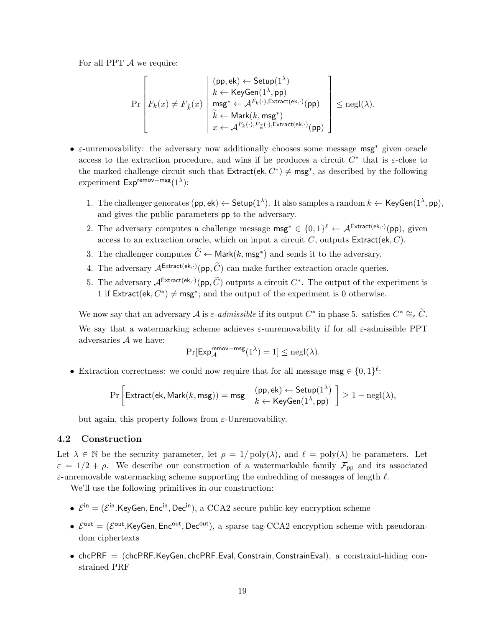For all PPT  $A$  we require:

$$
\Pr\left[F_k(x) \neq F_{\widetilde{k}}(x) \left| \begin{array}{c} (\mathsf{pp},\mathsf{ek}) \leftarrow \mathsf{Setup}(1^{\lambda}) \\ k \leftarrow \mathsf{KeyGen}(1^{\lambda},\mathsf{pp}) \\ \mathsf{msg}^* \leftarrow \mathcal{A}^{F_k(\cdot),\mathsf{Extract}(\mathsf{ek},\cdot)}(\mathsf{pp}) \\ \widetilde{k} \leftarrow \mathsf{Mark}(k,\mathsf{msg}^*) \\ x \leftarrow \mathcal{A}^{F_k(\cdot),F_{\widetilde{k}}(\cdot),\mathsf{Extract}(\mathsf{ek},\cdot)}(\mathsf{pp}) \end{array}\right] \leq \mathsf{negl}(\lambda).
$$

- ε-unremovability: the adversary now additionally chooses some message msg<sup>∗</sup> given oracle access to the extraction procedure, and wins if he produces a circuit  $C^*$  that is  $\varepsilon$ -close to the marked challenge circuit such that  $\textsf{Extract}(\textsf{ek}, C^*) \neq \textsf{msg}^*$ , as described by the following experiment  $Exp<sup>remov-msg</sup>(1<sup>\lambda</sup>)$ :
	- 1. The challenger generates  $(pp, ek) \leftarrow$  Setup $(1^{\lambda})$ . It also samples a random  $k \leftarrow$  KeyGen $(1^{\lambda}, pp)$ , and gives the public parameters pp to the adversary.
	- 2. The adversary computes a challenge message  $\mathsf{msg}^* \in \{0,1\}^{\ell} \leftarrow \mathcal{A}^{\mathsf{Extract}(\mathsf{ek},\cdot)}(\mathsf{pp})$ , given access to an extraction oracle, which on input a circuit  $C$ , outputs Extract(ek,  $C$ ).
	- 3. The challenger computes  $\widetilde{C} \leftarrow \mathsf{Mark}(k, \mathsf{msg}^*)$  and sends it to the adversary.
	- 4. The adversary  $\mathcal{A}^{\text{Extract}(ek,\cdot)}(pp,\tilde{C})$  can make further extraction oracle queries.
	- 5. The adversary  $\mathcal{A}^{\text{Extract}(ek,\cdot)}(\text{pp}, \widetilde{C})$  outputs a circuit  $C^*$ . The output of the experiment is 1 if Extract(ek,  $C^*$ )  $\neq$  msg<sup>\*</sup>; and the output of the experiment is 0 otherwise.

We now say that an adversary A is  $\varepsilon$ -admissible if its output  $C^*$  in phase 5. satisfies  $C^* \cong_{\varepsilon} \widetilde{C}$ . We say that a watermarking scheme achieves  $\varepsilon$ -unremovability if for all  $\varepsilon$ -admissible PPT adversaries A we have:

$$
\Pr[\mathsf{Exp}^{\mathsf{remove-msg}}_{\mathcal{A}}(1^{\lambda})=1]\leq \mathsf{negl}(\lambda).
$$

• Extraction correctness: we could now require that for all message  $\text{msg} \in \{0,1\}^{\ell}$ :

$$
\Pr\left[\mathsf{Extract}(\mathsf{ek},\mathsf{Mark}(k,\mathsf{msg}))=\mathsf{msg} \left| \begin{array}{l} (\mathsf{pp},\mathsf{ek}) \leftarrow \mathsf{Setup}(1^{\lambda}) \\ k \leftarrow \mathsf{KeyGen}(1^{\lambda},\mathsf{pp}) \end{array} \right] \geq 1-\mathsf{negl}(\lambda),
$$

but again, this property follows from  $\varepsilon$ -Unremovability.

#### 4.2 Construction

Let  $\lambda \in \mathbb{N}$  be the security parameter, let  $\rho = 1/\text{poly}(\lambda)$ , and  $\ell = \text{poly}(\lambda)$  be parameters. Let  $\varepsilon = 1/2 + \rho$ . We describe our construction of a watermarkable family  $\mathcal{F}_{\text{pp}}$  and its associated  $\varepsilon$ -unremovable watermarking scheme supporting the embedding of messages of length  $\ell$ .

We'll use the following primitives in our construction:

- $\mathcal{E}^{\text{in}} = (\mathcal{E}^{\text{in}})$ . KeyGen, Enc<sup>in</sup>, Dec<sup>in</sup>), a CCA2 secure public-key encryption scheme
- $\mathcal{E}^{\text{out}} = (\mathcal{E}^{\text{out}})$ . KeyGen, Enc<sup>out</sup>, Dec<sup>out</sup>), a sparse tag-CCA2 encryption scheme with pseudorandom ciphertexts
- chcPRF = (chcPRF.KeyGen, chcPRF.Eval, Constrain, ConstrainEval), a constraint-hiding constrained PRF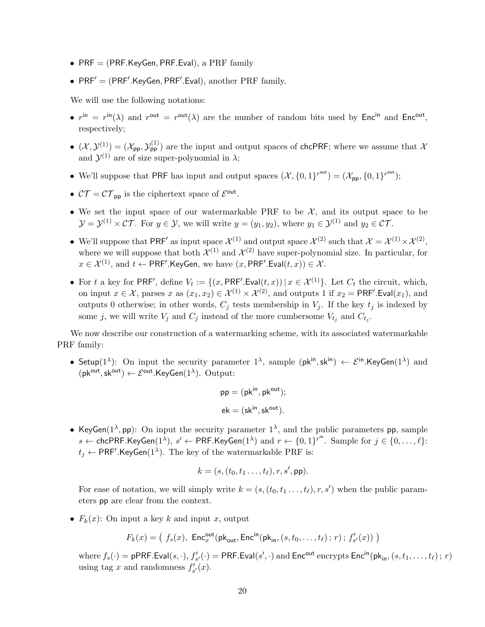- $PRF = (PRF.KeyGen, PRF.Eval), a PRF family$
- $PRF' = (PRF'.KeyGen, PRF'.Eval), another PRF family.$

We will use the following notations:

- $r^{\text{in}} = r^{\text{in}}(\lambda)$  and  $r^{\text{out}} = r^{\text{out}}(\lambda)$  are the number of random bits used by  $\text{Enc}^{\text{in}}$  and  $\text{Enc}^{\text{out}}$ , respectively;
- $({\cal X},{\cal Y}^{(1)})=({\cal X}_{\text{pp}},{\cal Y}_{\text{pp}}^{(1)})$  are the input and output spaces of chcPRF; where we assume that X and  $\mathcal{Y}^{(1)}$  are of size super-polynomial in  $\lambda$ ;
- We'll suppose that PRF has input and output spaces  $(\mathcal{X}, \{0,1\}^{r^{\text{out}}}) = (\mathcal{X}_{\text{pp}}, \{0,1\}^{r^{\text{out}}})$ ;
- $\mathcal{CT} = \mathcal{CT}_{\mathsf{pp}}$  is the ciphertext space of  $\mathcal{E}^{\mathsf{out}}$ .
- We set the input space of our watermarkable PRF to be  $X$ , and its output space to be  $\mathcal{Y} = \mathcal{Y}^{(1)} \times \mathcal{CT}$ . For  $y \in \mathcal{Y}$ , we will write  $y = (y_1, y_2)$ , where  $y_1 \in \mathcal{Y}^{(1)}$  and  $y_2 \in \mathcal{CT}$ .
- We'll suppose that PRF' as input space  $\mathcal{X}^{(1)}$  and output space  $\mathcal{X}^{(2)}$  such that  $\mathcal{X} = \mathcal{X}^{(1)} \times \mathcal{X}^{(2)}$ , where we will suppose that both  $\mathcal{X}^{(1)}$  and  $\mathcal{X}^{(2)}$  have super-polynomial size. In particular, for  $x \in \mathcal{X}^{(1)}$ , and  $t \leftarrow \mathsf{PRF}'.$ KeyGen, we have  $(x, \mathsf{PRF}'.$  Eval $(t, x)) \in \mathcal{X}$ .
- For t a key for PRF', define  $V_t := \{(x, \text{PRF}^\prime \text{.Eval}(t, x)) | x \in \mathcal{X}^{(1)}\}$ . Let  $C_t$  the circuit, which, on input  $x \in \mathcal{X}$ , parses x as  $(x_1, x_2) \in \mathcal{X}^{(1)} \times \mathcal{X}^{(2)}$ , and outputs 1 if  $x_2 = \mathsf{PRF}'$ . Eval $(x_1)$ , and outputs 0 otherwise; in other words,  $C_i$  tests membership in  $V_i$ . If the key  $t_i$  is indexed by some j, we will write  $V_j$  and  $C_j$  instead of the more cumbersome  $V_{t_j}$  and  $C_{t_j}$ .

We now describe our construction of a watermarking scheme, with its associated watermarkable PRF family:

• Setup(1<sup> $\lambda$ </sup>): On input the security parameter 1<sup> $\lambda$ </sup>, sample (pk<sup>in</sup>, sk<sup>in</sup>)  $\leftarrow \mathcal{E}^{\text{in}}$ . KeyGen(1<sup> $\lambda$ </sup>) and  $(\mathsf{pk}^{\mathsf{out}}, \mathsf{sk}^{\mathsf{out}}) \leftarrow \mathcal{E}^{\mathsf{out}}$ . KeyGen $(1^{\lambda})$ . Output:

$$
pp = (pk^{in}, pk^{out});
$$
  

$$
ek = (sk^{in}, sk^{out}).
$$

• KeyGen( $1^{\lambda}$ , pp): On input the security parameter  $1^{\lambda}$ , and the public parameters pp, sample  $s \leftarrow \text{chcPRF.KeyGen}(1^{\lambda}), s' \leftarrow \text{PRF.KeyGen}(1^{\lambda}) \text{ and } r \leftarrow \{0, 1\}^{r^{\text{in}}}$ . Sample for  $j \in \{0, ..., \ell\}$ :  $t_j \leftarrow \mathsf{PRF}'.\mathsf{KeyGen}(1^{\lambda})$ . The key of the watermarkable PRF is:

$$
k = (s, (t_0, t_1 \ldots, t_\ell), r, s', \mathsf{pp}).
$$

For ease of notation, we will simply write  $k = (s, (t_0, t_1, \ldots, t_\ell), r, s')$  when the public parameters pp are clear from the context.

•  $F_k(x)$ : On input a key k and input x, output

$$
F_k(x)=\left(\,\,f_s(x),\,\,\text{Enc}_{x}^{\text{out}}(\text{pk}_{\text{out}},\text{Enc}^{\text{in}}(\text{pk}_{\text{in}},(s,t_0,\ldots,t_\ell)\,;\,r)\,;\,f'_{s'}(x))\,\,\right)
$$

where  $f_s(\cdot) =$  pPRF.Eval $(s, \cdot), f'_{s'}(\cdot) =$  PRF.Eval $(s', \cdot)$  and Enc<sup>out</sup> encrypts Enc<sup>in</sup>(pk<sub>in</sub>,  $(s, t_1, \ldots, t_\ell)$ ; r) using tag x and randomness  $f'_{s'}(x)$ .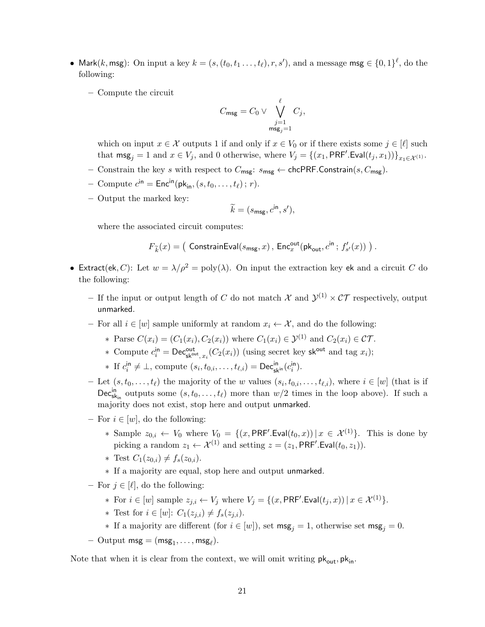- Mark $(k, \text{msg})$ : On input a key  $k = (s, (t_0, t_1, \ldots, t_\ell), r, s'),$  and a message  $\text{msg} \in \{0, 1\}^\ell$ , do the following:
	- Compute the circuit

$$
C_{\text{msg}} = C_0 \vee \bigvee_{\substack{j=1 \ \text{msg}_j=1}}^{\ell} C_j,
$$

which on input  $x \in \mathcal{X}$  outputs 1 if and only if  $x \in V_0$  or if there exists some  $j \in [\ell]$  such that  $\text{msg}_j = 1$  and  $x \in V_j$ , and 0 otherwise, where  $V_j = \{(x_1, \text{PRF}'.\text{Eval}(t_j, x_1))\}_{x_1 \in \mathcal{X}^{(1)}}$ .

- Constrain the key s with respect to  $C_{\text{msg}}$ :  $s_{\text{msg}} \leftarrow \text{chcPRF}$ . Constrain $(s, C_{\text{msg}})$ .
- Compute  $c^{\text{in}} = \text{Enc}^{\text{in}}(\text{pk}_{\text{in}}, (s, t_0, \ldots, t_\ell) ; r).$
- Output the marked key:

$$
\widetilde{k} = (s_{\mathsf{msg}}, c^{\mathsf{in}}, s'),
$$

where the associated circuit computes:

$$
F_{\widetilde{k}}(x) = \left( \text{ ConstrainEval}(s_{\text{msg}}, x), \text{Enc}^{\text{out}}_x(\text{pk}_{\text{out}}, c^{\text{in}}; f'_{s'}(x)) \right).
$$

- Extract(ek, C): Let  $w = \lambda/\rho^2 = \text{poly}(\lambda)$ . On input the extraction key ek and a circuit C do the following:
	- If the input or output length of C do not match  $\mathcal{X}$  and  $\mathcal{Y}^{(1)} \times \mathcal{CT}$  respectively, output unmarked.
	- For all  $i \in [w]$  sample uniformly at random  $x_i \leftarrow \mathcal{X}$ , and do the following:
		- ∗ Parse  $C(x_i) = (C_1(x_i), C_2(x_i))$  where  $C_1(x_i) \in \mathcal{Y}^{(1)}$  and  $C_2(x_i) \in \mathcal{CT}$ .
		- ∗ Compute  $c_i^{\text{in}} = \text{Dec}_{\text{sk}^{\text{out}}, x_i}^{\text{out}}(C_2(x_i))$  (using secret key sk<sup>out</sup> and tag  $x_i$ );
		- \* If  $c_i^{\text{in}} \neq \bot$ , compute  $(s_i, t_{0,i}, \ldots, t_{\ell,i}) = \text{Dec}_{\text{sk}^{\text{in}}(c_i^{\text{in}})}^{\text{in}}$ .
	- $-$  Let  $(s, t_0, \ldots, t_\ell)$  the majority of the w values  $(s_i, t_{0,i}, \ldots, t_{\ell,i})$ , where  $i \in [w]$  (that is if Dec<sup>in</sup><sub>skin</sub> outputs some  $(s, t_0, \ldots, t_\ell)$  more than  $w/2$  times in the loop above). If such a majority does not exist, stop here and output unmarked.
	- For  $i \in [w]$ , do the following:
		- ∗ Sample  $z_{0,i}$  ←  $V_0$  where  $V_0 = \{(x, \text{PRF}^\prime \text{.Eval}(t_0, x)) | x \in \mathcal{X}^{(1)}\}$ . This is done by picking a random  $z_1 \leftarrow \mathcal{X}^{(1)}$  and setting  $z = (z_1, \textsf{PRF}^{\prime}.\textsf{Eval}(t_0, z_1)).$
		- \* Test  $C_1(z_{0,i}) \neq f_s(z_{0,i}).$
		- ∗ If a majority are equal, stop here and output unmarked.
	- For  $j \in [\ell]$ , do the following:
		- ∗ For  $i \in [w]$  sample  $z_{j,i} \leftarrow V_j$  where  $V_j = \{(x, \text{PRF}^\prime \text{.Eval}(t_j, x)) \mid x \in \mathcal{X}^{(1)}\}.$
		- ∗ Test for  $i \in [w]$ :  $C_1(z_{j,i}) \neq f_s(z_{j,i}).$
		- ∗ If a majority are different (for  $i \in [w]$ ), set msg<sub>j</sub> = 1, otherwise set msg<sub>j</sub> = 0.
	- $-$  Output  $\mathsf{msg} = (\mathsf{msg}_1, \ldots, \mathsf{msg}_\ell).$

Note that when it is clear from the context, we will omit writing  $pk_{out}$ ,  $pk_{in}$ .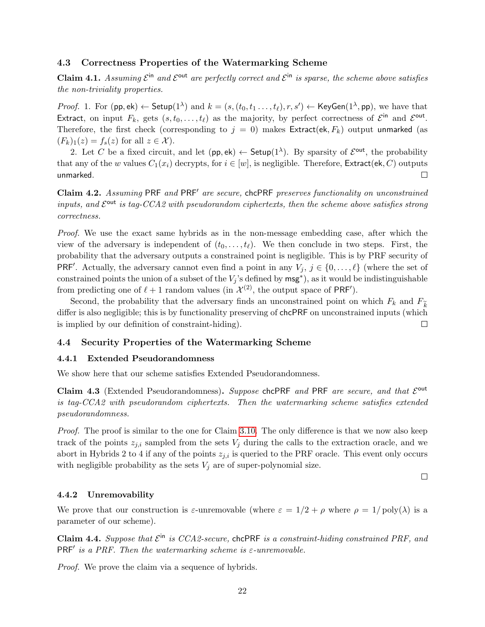### 4.3 Correctness Properties of the Watermarking Scheme

**Claim 4.1.** Assuming  $\mathcal{E}^{\text{in}}$  and  $\mathcal{E}^{\text{out}}$  are perfectly correct and  $\mathcal{E}^{\text{in}}$  is sparse, the scheme above satisfies the non-triviality properties.

*Proof.* 1. For  $(pp, ek) \leftarrow$  Setup $(1^{\lambda})$  and  $k = (s, (t_0, t_1, \ldots, t_{\ell}), r, s') \leftarrow$  KeyGen $(1^{\lambda}, pp)$ , we have that Extract, on input  $F_k$ , gets  $(s, t_0, \ldots, t_\ell)$  as the majority, by perfect correctness of  $\mathcal{E}^{\text{in}}$  and  $\mathcal{E}^{\text{out}}$ . Therefore, the first check (corresponding to  $j = 0$ ) makes Extract(ek,  $F_k$ ) output unmarked (as  $(F_k)_1(z) = f_s(z)$  for all  $z \in \mathcal{X}$ ).

2. Let C be a fixed circuit, and let  $(pp, \text{ek}) \leftarrow \text{Setup}(1^{\lambda})$ . By sparsity of  $\mathcal{E}^{\text{out}}$ , the probability that any of the w values  $C_1(x_i)$  decrypts, for  $i \in [w]$ , is negligible. Therefore, Extract(ek, C) outputs unmarked.  $\Box$ 

Claim 4.2. Assuming PRF and PRF' are secure, chcPRF preserves functionality on unconstrained inputs, and  $\mathcal{E}^{\text{out}}$  is tag-CCA2 with pseudorandom ciphertexts, then the scheme above satisfies strong correctness.

Proof. We use the exact same hybrids as in the non-message embedding case, after which the view of the adversary is independent of  $(t_0, \ldots, t_\ell)$ . We then conclude in two steps. First, the probability that the adversary outputs a constrained point is negligible. This is by PRF security of **PRF'.** Actually, the adversary cannot even find a point in any  $V_j$ ,  $j \in \{0, \ldots, \ell\}$  (where the set of constrained points the union of a subset of the  $V_j$ 's defined by  $\mathsf{msg}^*$ ), as it would be indistinguishable from predicting one of  $\ell + 1$  random values (in  $\mathcal{X}^{(2)}$ , the output space of PRF').

Second, the probability that the adversary finds an unconstrained point on which  $F_k$  and  $F_{\tilde{k}}$ differ is also negligible; this is by functionality preserving of chcPRF on unconstrained inputs (which is implied by our definition of constraint-hiding). П

#### 4.4 Security Properties of the Watermarking Scheme

#### 4.4.1 Extended Pseudorandomness

We show here that our scheme satisfies Extended Pseudorandomness.

Claim 4.3 (Extended Pseudorandomness). Suppose chcPRF and PRF are secure, and that  $\mathcal{E}^{\text{out}}$ is tag-CCA2 with pseudorandom ciphertexts. Then the watermarking scheme satisfies extended pseudorandomness.

Proof. The proof is similar to the one for Claim [3.10.](#page-16-0) The only difference is that we now also keep track of the points  $z_{j,i}$  sampled from the sets  $V_j$  during the calls to the extraction oracle, and we abort in Hybrids 2 to 4 if any of the points  $z_{i,i}$  is queried to the PRF oracle. This event only occurs with negligible probability as the sets  $V_j$  are of super-polynomial size.

 $\Box$ 

#### 4.4.2 Unremovability

We prove that our construction is  $\varepsilon$ -unremovable (where  $\varepsilon = 1/2 + \rho$  where  $\rho = 1/\text{poly}(\lambda)$  is a parameter of our scheme).

Claim 4.4. Suppose that  $\mathcal{E}^{\text{in}}$  is CCA2-secure, chcPRF is a constraint-hiding constrained PRF, and PRF' is a PRF. Then the watermarking scheme is  $\varepsilon$ -unremovable.

Proof. We prove the claim via a sequence of hybrids.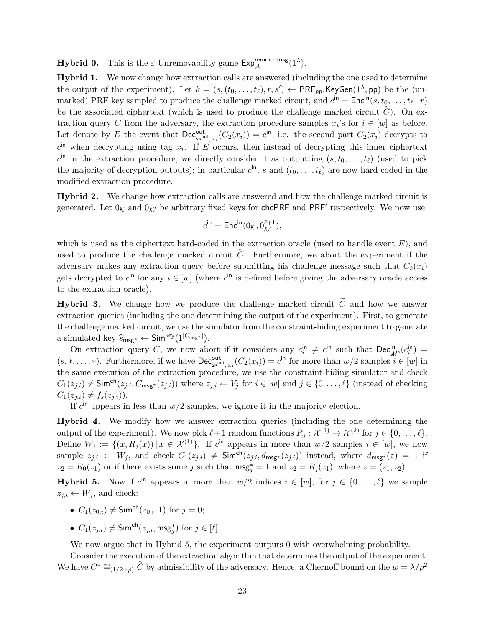**Hybrid 0.** This is the  $\varepsilon$ -Unremovability game  $Exp_{\mathcal{A}}^{\text{remove-msg}}(1^{\lambda})$ .

Hybrid 1. We now change how extraction calls are answered (including the one used to determine the output of the experiment). Let  $k = (s, (t_0, \ldots, t_\ell), r, s') \leftarrow \text{PRF}_{\text{pp}}$ .KeyGen $(1^\lambda, \text{pp})$  be the (unmarked) PRF key sampled to produce the challenge marked circuit, and  $c^{\text{in}} = \text{Enc}^{\text{in}}(s, t_0, \ldots, t_\ell; r)$ be the associated ciphertext (which is used to produce the challenge marked circuit  $C$ ). On extraction query C from the adversary, the extraction procedure samples  $x_i$ 's for  $i \in [w]$  as before. Let denote by E the event that  $\mathsf{Dec}_{\mathsf{sk}^{\mathsf{out}}, x_i}^{\mathsf{out}}(C_2(x_i)) = c^{\mathsf{in}},$  i.e. the second part  $C_2(x_i)$  decrypts to  $c^{\text{in}}$  when decrypting using tag  $x_i$ . If E occurs, then instead of decrypting this inner ciphertext  $c^{\text{in}}$  in the extraction procedure, we directly consider it as outputting  $(s, t_0, \ldots, t_\ell)$  (used to pick the majority of decryption outputs); in particular  $c^{in}$ , s and  $(t_0, \ldots, t_\ell)$  are now hard-coded in the modified extraction procedure.

Hybrid 2. We change how extraction calls are answered and how the challenge marked circuit is generated. Let  $0_K$  and  $0_{K'}$  be arbitrary fixed keys for chcPRF and PRF' respectively. We now use:

$$
c^{\rm in} = \mathsf{Enc}^{\rm in}(0_\mathcal{K}, 0_{\mathcal{K}'}^{\ell+1}),
$$

which is used as the ciphertext hard-coded in the extraction oracle (used to handle event  $E$ ), and used to produce the challenge marked circuit  $\tilde{C}$ . Furthermore, we abort the experiment if the adversary makes any extraction query before submitting his challenge message such that  $C_2(x_i)$ gets decrypted to  $c^{\text{in}}$  for any  $i \in [w]$  (where  $c^{\text{in}}$  is defined before giving the adversary oracle access to the extraction oracle).

**Hybrid 3.** We change how we produce the challenge marked circuit  $\tilde{C}$  and how we answer extraction queries (including the one determining the output of the experiment). First, to generate the challenge marked circuit, we use the simulator from the constraint-hiding experiment to generate a simulated key  $\hat{s}_{\text{msg*}} \leftarrow \text{Sim}^{\text{key}}(1^{|C_{\text{msg*}}|}).$ 

On extraction query C, we now abort if it considers any  $c_i^{\text{in}} \neq c^{\text{in}}$  such that  $\text{Dec}_{\text{sk}^{\text{in}}|c_i^{\text{in}}|}^{\text{in}}(c_i^{\text{in}})$  $(s,*,\ldots,*)$ . Furthermore, if we have  $\mathsf{Dec}_{\mathsf{sk}^{\mathsf{out}},x_i}^{\mathsf{out}}(C_2(x_i)) = c^{\mathsf{in}}$  for more than  $w/2$  samples  $i \in [w]$  in the same execution of the extraction procedure, we use the constraint-hiding simulator and check  $C_1(z_{j,i}) \neq \textsf{Sim}^{\textsf{ch}}(z_{j,i}, C_{\textsf{msg}^*}(z_{j,i}))$  where  $z_{j,i} \leftarrow V_j$  for  $i \in [w]$  and  $j \in \{0, \ldots, \ell\}$  (instead of checking  $C_1(z_{j,i}) \neq f_s(z_{j,i}).$ 

If  $c^{\text{in}}$  appears in less than  $w/2$  samples, we ignore it in the majority election.

Hybrid 4. We modify how we answer extraction queries (including the one determining the output of the experiment). We now pick  $\ell + 1$  random functions  $R_j : \mathcal{X}^{(1)} \to \mathcal{X}^{(2)}$  for  $j \in \{0, \ldots, \ell\}$ . Define  $W_j := \{(x, R_j(x)) \mid x \in \mathcal{X}^{(1)}\}.$  If  $c^{in}$  appears in more than  $w/2$  samples  $i \in [w]$ , we now sample  $z_{j,i} \leftarrow W_j$ , and check  $C_1(z_{j,i}) \neq \mathsf{Sim}^{\mathsf{ch}}(z_{j,i}, d_{\mathsf{msg}^*}(z_{j,i}))$  instead, where  $d_{\mathsf{msg}^*}(z) = 1$  if  $z_2 = R_0(z_1)$  or if there exists some j such that  $\text{msg}_j^* = 1$  and  $z_2 = R_j(z_1)$ , where  $z = (z_1, z_2)$ .

**Hybrid 5.** Now if  $c^{in}$  appears in more than  $w/2$  indices  $i \in [w]$ , for  $j \in \{0, \ldots, \ell\}$  we sample  $z_{i,i} \leftarrow W_i$ , and check:

- $C_1(z_{0,i}) \neq \text{Sim}^{\text{ch}}(z_{0,i}, 1)$  for  $j = 0$ ;
- $C_1(z_{j,i}) \neq \textsf{Sim}^{\textsf{ch}}(z_{j,i}, \textsf{msg}_j^*)$  for  $j \in [\ell].$

We now argue that in Hybrid 5, the experiment outputs 0 with overwhelming probability.

Consider the execution of the extraction algorithm that determines the output of the experiment. We have  $C^* \cong_{(1/2+\rho)} \widetilde{C}$  by admissibility of the adversary. Hence, a Chernoff bound on the  $w = \lambda/\rho^2$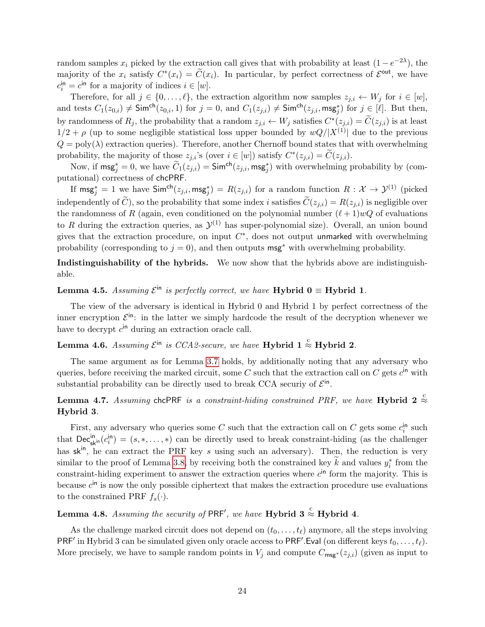random samples  $x_i$  picked by the extraction call gives that with probability at least  $(1 - e^{-2\lambda})$ , the majority of the  $x_i$  satisfy  $C^*(x_i) = \widetilde{C}(x_i)$ . In particular, by perfect correctness of  $\mathcal{E}^{\text{out}}$ , we have  $c_i^{\text{in}} = c^{\text{in}}$  for a majority of indices  $i \in [w]$ .

Therefore, for all  $j \in \{0, \ldots, \ell\}$ , the extraction algorithm now samples  $z_{j,i} \leftarrow W_j$  for  $i \in [w]$ , and tests  $C_1(z_{0,i}) \neq \textsf{Sim}^{\textsf{ch}}(z_{0,i}, 1)$  for  $j = 0$ , and  $C_1(z_{j,i}) \neq \textsf{Sim}^{\textsf{ch}}(z_{j,i}, \textsf{msg}^*_j)$  for  $j \in [\ell]$ . But then, by randomness of  $R_j$ , the probability that a random  $z_{j,i} \leftarrow W_j$  satisfies  $C^*(z_{j,i}) = \widetilde{C}(z_{j,i})$  is at least  $1/2 + \rho$  (up to some negligible statistical loss upper bounded by  $wQ/|X^{(1)}|$  due to the previous  $Q = \text{poly}(\lambda)$  extraction queries). Therefore, another Chernoff bound states that with overwhelming probability, the majority of those  $z_{j,i}$ 's (over  $i \in [w]$ ) satisfy  $C^*(z_{j,i}) = \widetilde{C}(z_{j,i})$ .

Now, if  $\text{msg}_j^* = 0$ , we have  $\widetilde{C}_1(z_{j,i}) = \text{Sim}^{\text{ch}}(z_{j,i}, \text{msg}_j^*)$  with overwhelming probability by (computational) correctness of chcPRF.

If  $\mathsf{msg}_j^*=1$  we have  $\mathsf{Sim}^{\mathsf{ch}}(z_{j,i},\mathsf{msg}_j^*)=R(z_{j,i})$  for a random function  $R:\mathcal{X}\to\mathcal{Y}^{(1)}$  (picked independently of  $\tilde{C}$ ), so the probability that some index *i* satisfies  $\tilde{C}(z_{j,i}) = R(z_{j,i})$  is negligible over the randomness of R (again, even conditioned on the polynomial number  $(\ell + 1)wQ$  of evaluations to R during the extraction queries, as  $\mathcal{Y}^{(1)}$  has super-polynomial size). Overall, an union bound gives that the extraction procedure, on input  $C^*$ , does not output unmarked with overwhelming probability (corresponding to  $j = 0$ ), and then outputs  $\text{msg}^*$  with overwhelming probability.

Indistinguishability of the hybrids. We now show that the hybrids above are indistinguishable.

### **Lemma 4.5.** Assuming  $\mathcal{E}^{\text{in}}$  is perfectly correct, we have **Hybrid 0**  $\equiv$  **Hybrid 1**.

The view of the adversary is identical in Hybrid 0 and Hybrid 1 by perfect correctness of the inner encryption  $\mathcal{E}^{\text{in}}$ : in the latter we simply hardcode the result of the decryption whenever we have to decrypt  $c<sup>in</sup>$  during an extraction oracle call.

# Lemma 4.6. Assuming  $\mathcal{E}^{\text{in}}$  is CCA2-secure, we have Hybrid 1  $\stackrel{\text{c}}{\approx}$  Hybrid 2.

The same argument as for Lemma [3.7](#page-16-1) holds, by additionally noting that any adversary who queries, before receiving the marked circuit, some C such that the extraction call on C gets  $c^{\text{in}}$  with substantial probability can be directly used to break CCA securiy of  $\mathcal{E}^{\text{in}}$ .

### **Lemma 4.7.** Assuming chcPRF is a constraint-hiding constrained PRF, we have Hybrid 2  $\stackrel{c}{\approx}$ Hybrid 3.

First, any adversary who queries some C such that the extraction call on C gets some  $c_i^{\text{in}}$  such that  $\text{Dec}_{\textbf{sk}^{in}}^{in}(c_i^{in}) = (s,*,\ldots,*)$  can be directly used to break constraint-hiding (as the challenger has sk<sup>in</sup>, he can extract the PRF key s using such an adversary). Then, the reduction is very similar to the proof of Lemma [3.8,](#page-16-2) by receiving both the constrained key  $\tilde{k}$  and values  $y_i^*$  from the constraint-hiding experiment to answer the extraction queries where  $c<sup>in</sup>$  form the majority. This is because  $c<sup>in</sup>$  is now the only possible ciphertext that makes the extraction procedure use evaluations to the constrained PRF  $f_s(\cdot)$ .

# Lemma 4.8. Assuming the security of PRF', we have Hybrid 3  $\stackrel{c}{\approx}$  Hybrid 4.

As the challenge marked circuit does not depend on  $(t_0, \ldots, t_\ell)$  anymore, all the steps involving PRF' in Hybrid 3 can be simulated given only oracle access to PRF'. Eval (on different keys  $t_0, \ldots, t_\ell$ ). More precisely, we have to sample random points in  $V_j$  and compute  $C_{\text{msg*}}(z_{j,i})$  (given as input to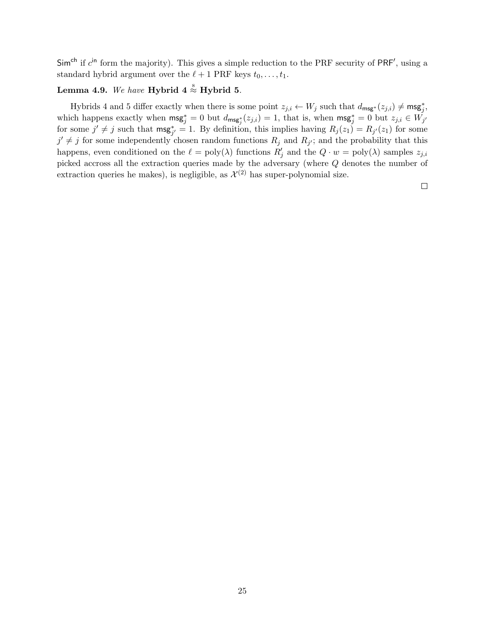Sim<sup>ch</sup> if  $c^{in}$  form the majority). This gives a simple reduction to the PRF security of PRF', using a standard hybrid argument over the  $\ell + 1$  PRF keys  $t_0, \ldots, t_1$ .

# Lemma 4.9. We have Hybrid 4  $\stackrel{\text{s}}{\approx}$  Hybrid 5.

Hybrids 4 and 5 differ exactly when there is some point  $z_{j,i} \leftarrow W_j$  such that  $d_{\mathsf{msg}^*}(z_{j,i}) \neq \mathsf{msg}^*_j$ , which happens exactly when  $\textsf{msg}_j^* = 0$  but  $d_{\textsf{msg}_j^*}(z_{j,i}) = 1$ , that is, when  $\textsf{msg}_j^* = 0$  but  $z_{j,i} \in W_{j'}$ for some  $j' \neq j$  such that  $\text{msg}_{j'}^* = 1$ . By definition, this implies having  $R_j(z_1) = R_{j'}(z_1)$  for some  $j' \neq j$  for some independently chosen random functions  $R_j$  and  $R_{j'}$ ; and the probability that this happens, even conditioned on the  $\ell = \text{poly}(\lambda)$  functions  $R'_j$  and the  $Q \cdot w = \text{poly}(\lambda)$  samples  $z_{j,i}$ picked accross all the extraction queries made by the adversary (where Q denotes the number of extraction queries he makes), is negligible, as  $\mathcal{X}^{(2)}$  has super-polynomial size.

 $\Box$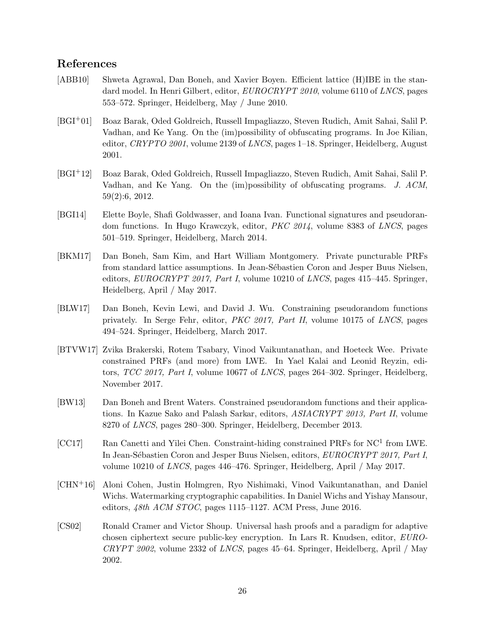### References

- <span id="page-26-10"></span>[ABB10] Shweta Agrawal, Dan Boneh, and Xavier Boyen. Efficient lattice (H)IBE in the standard model. In Henri Gilbert, editor, EUROCRYPT 2010, volume 6110 of LNCS, pages 553–572. Springer, Heidelberg, May / June 2010.
- <span id="page-26-0"></span>[BGI+01] Boaz Barak, Oded Goldreich, Russell Impagliazzo, Steven Rudich, Amit Sahai, Salil P. Vadhan, and Ke Yang. On the (im)possibility of obfuscating programs. In Joe Kilian, editor, CRYPTO 2001, volume 2139 of LNCS, pages 1–18. Springer, Heidelberg, August 2001.
- <span id="page-26-1"></span>[BGI+12] Boaz Barak, Oded Goldreich, Russell Impagliazzo, Steven Rudich, Amit Sahai, Salil P. Vadhan, and Ke Yang. On the (im)possibility of obfuscating programs. J. ACM, 59(2):6, 2012.
- <span id="page-26-8"></span>[BGI14] Elette Boyle, Shafi Goldwasser, and Ioana Ivan. Functional signatures and pseudorandom functions. In Hugo Krawczyk, editor, PKC 2014, volume 8383 of LNCS, pages 501–519. Springer, Heidelberg, March 2014.
- <span id="page-26-4"></span>[BKM17] Dan Boneh, Sam Kim, and Hart William Montgomery. Private puncturable PRFs from standard lattice assumptions. In Jean-S´ebastien Coron and Jesper Buus Nielsen, editors, EUROCRYPT 2017, Part I, volume 10210 of LNCS, pages 415–445. Springer, Heidelberg, April / May 2017.
- <span id="page-26-3"></span>[BLW17] Dan Boneh, Kevin Lewi, and David J. Wu. Constraining pseudorandom functions privately. In Serge Fehr, editor, PKC 2017, Part II, volume 10175 of LNCS, pages 494–524. Springer, Heidelberg, March 2017.
- <span id="page-26-6"></span>[BTVW17] Zvika Brakerski, Rotem Tsabary, Vinod Vaikuntanathan, and Hoeteck Wee. Private constrained PRFs (and more) from LWE. In Yael Kalai and Leonid Reyzin, editors, TCC 2017, Part I, volume 10677 of LNCS, pages 264–302. Springer, Heidelberg, November 2017.
- <span id="page-26-7"></span>[BW13] Dan Boneh and Brent Waters. Constrained pseudorandom functions and their applications. In Kazue Sako and Palash Sarkar, editors, ASIACRYPT 2013, Part II, volume 8270 of LNCS, pages 280–300. Springer, Heidelberg, December 2013.
- <span id="page-26-5"></span>[CC17] Ran Canetti and Yilei Chen. Constraint-hiding constrained PRFs for NC<sup>1</sup> from LWE. In Jean-Sébastien Coron and Jesper Buus Nielsen, editors, EUROCRYPT 2017, Part I, volume 10210 of LNCS, pages 446–476. Springer, Heidelberg, April / May 2017.
- <span id="page-26-2"></span>[CHN+16] Aloni Cohen, Justin Holmgren, Ryo Nishimaki, Vinod Vaikuntanathan, and Daniel Wichs. Watermarking cryptographic capabilities. In Daniel Wichs and Yishay Mansour, editors,  $48th$  ACM STOC, pages 1115–1127. ACM Press, June 2016.
- <span id="page-26-9"></span>[CS02] Ronald Cramer and Victor Shoup. Universal hash proofs and a paradigm for adaptive chosen ciphertext secure public-key encryption. In Lars R. Knudsen, editor, EURO-CRYPT 2002, volume 2332 of LNCS, pages 45–64. Springer, Heidelberg, April / May 2002.